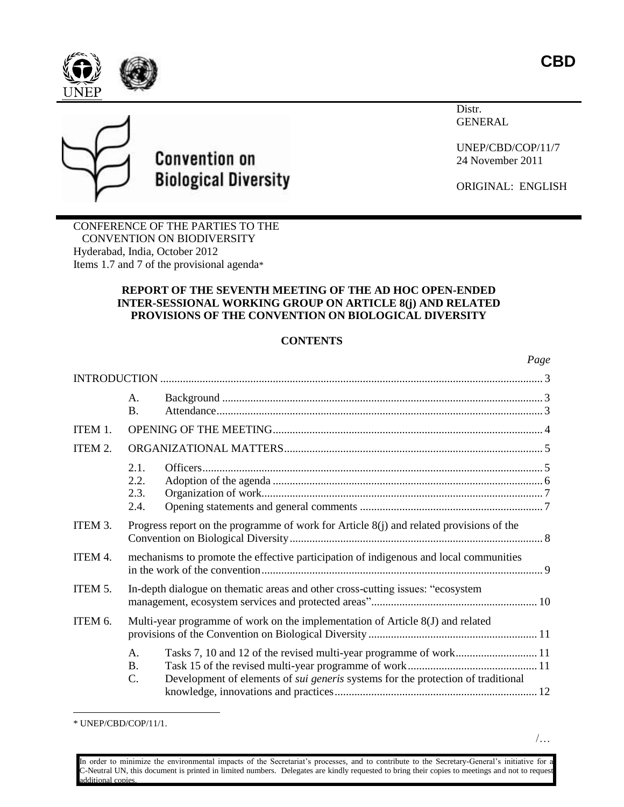

Distr. GENERAL



# **Convention on Biological Diversity**

UNEP/CBD/COP/11/7 24 November 2011

ORIGINAL: ENGLISH

CONFERENCE OF THE PARTIES TO THE CONVENTION ON BIODIVERSITY Hyderabad, India, October 2012 Items 1.7 and 7 of the provisional agenda\*

# **REPORT OF THE SEVENTH MEETING OF THE AD HOC OPEN-ENDED INTER-SESSIONAL WORKING GROUP ON ARTICLE 8(j) AND RELATED PROVISIONS OF THE CONVENTION ON BIOLOGICAL DIVERSITY**

# **CONTENTS**

|         |                                                                                |                                                                                         | Page |
|---------|--------------------------------------------------------------------------------|-----------------------------------------------------------------------------------------|------|
|         |                                                                                |                                                                                         |      |
|         | A.<br><b>B.</b>                                                                |                                                                                         |      |
| ITEM 1. |                                                                                |                                                                                         |      |
| ITEM 2. |                                                                                |                                                                                         |      |
|         | 2.1.<br>2.2.<br>2.3.<br>2.4.                                                   |                                                                                         |      |
| ITEM 3. |                                                                                | Progress report on the programme of work for Article 8(j) and related provisions of the |      |
| ITEM 4. |                                                                                | mechanisms to promote the effective participation of indigenous and local communities   |      |
| ITEM 5. | In-depth dialogue on thematic areas and other cross-cutting issues: "ecosystem |                                                                                         |      |
| ITEM 6. |                                                                                | Multi-year programme of work on the implementation of Article 8(J) and related          |      |
|         | $\mathsf{A}$ .<br>B <sub>1</sub><br>C.                                         | Development of elements of <i>sui generis</i> systems for the protection of traditional |      |

 $\overline{a}$ 

In order to minimize the environmental impacts of the Secretariat's processes, and to contribute to the Secretary-General's initiative for a C-Neutral UN, this document is printed in limited numbers. Delegates are kindly requested to bring their copies to meetings and not to request additional copies.

<sup>\*</sup> UNEP/CBD/COP/11/1.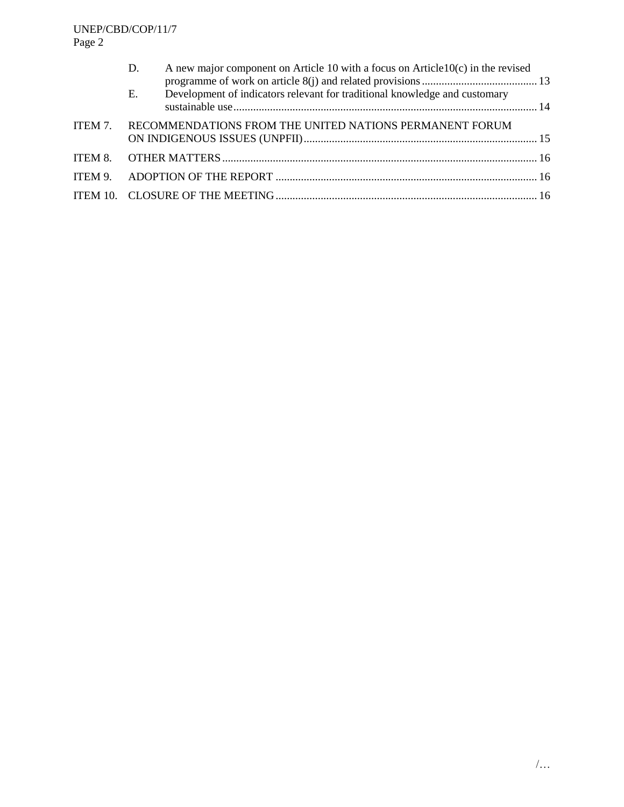|         | A new major component on Article 10 with a focus on Article $10(c)$ in the revised<br>D. |  |
|---------|------------------------------------------------------------------------------------------|--|
|         | Development of indicators relevant for traditional knowledge and customary<br>E.         |  |
| ITEM 7. | RECOMMENDATIONS FROM THE UNITED NATIONS PERMANENT FORUM                                  |  |
|         |                                                                                          |  |
|         |                                                                                          |  |
|         |                                                                                          |  |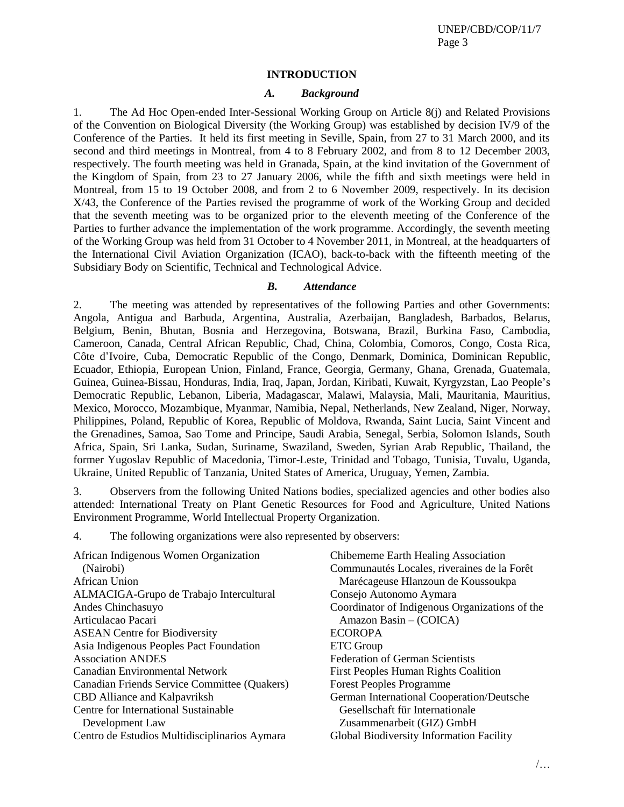#### **INTRODUCTION**

#### *A. Background*

<span id="page-2-1"></span><span id="page-2-0"></span>1. The Ad Hoc Open-ended Inter-Sessional Working Group on Article 8(j) and Related Provisions of the Convention on Biological Diversity (the Working Group) was established by decision IV/9 of the Conference of the Parties. It held its first meeting in Seville, Spain, from 27 to 31 March 2000, and its second and third meetings in Montreal, from 4 to 8 February 2002, and from 8 to 12 December 2003, respectively. The fourth meeting was held in Granada, Spain, at the kind invitation of the Government of the Kingdom of Spain, from 23 to 27 January 2006, while the fifth and sixth meetings were held in Montreal, from 15 to 19 October 2008, and from 2 to 6 November 2009, respectively. In its decision X/43, the Conference of the Parties revised the programme of work of the Working Group and decided that the seventh meeting was to be organized prior to the eleventh meeting of the Conference of the Parties to further advance the implementation of the work programme. Accordingly, the seventh meeting of the Working Group was held from 31 October to 4 November 2011, in Montreal, at the headquarters of the International Civil Aviation Organization (ICAO), back-to-back with the fifteenth meeting of the Subsidiary Body on Scientific, Technical and Technological Advice.

# *B. Attendance*

<span id="page-2-2"></span>2. The meeting was attended by representatives of the following Parties and other Governments: Angola, Antigua and Barbuda, Argentina, Australia, Azerbaijan, Bangladesh, Barbados, Belarus, Belgium, Benin, Bhutan, Bosnia and Herzegovina, Botswana, Brazil, Burkina Faso, Cambodia, Cameroon, Canada, Central African Republic, Chad, China, Colombia, Comoros, Congo, Costa Rica, Côte d'Ivoire, Cuba, Democratic Republic of the Congo, Denmark, Dominica, Dominican Republic, Ecuador, Ethiopia, European Union, Finland, France, Georgia, Germany, Ghana, Grenada, Guatemala, Guinea, Guinea-Bissau, Honduras, India, Iraq, Japan, Jordan, Kiribati, Kuwait, Kyrgyzstan, Lao People's Democratic Republic, Lebanon, Liberia, Madagascar, Malawi, Malaysia, Mali, Mauritania, Mauritius, Mexico, Morocco, Mozambique, Myanmar, Namibia, Nepal, Netherlands, New Zealand, Niger, Norway, Philippines, Poland, Republic of Korea, Republic of Moldova, Rwanda, Saint Lucia, Saint Vincent and the Grenadines, Samoa, Sao Tome and Principe, Saudi Arabia, Senegal, Serbia, Solomon Islands, South Africa, Spain, Sri Lanka, Sudan, Suriname, Swaziland, Sweden, Syrian Arab Republic, Thailand, the former Yugoslav Republic of Macedonia, Timor-Leste, Trinidad and Tobago, Tunisia, Tuvalu, Uganda, Ukraine, United Republic of Tanzania, United States of America, Uruguay, Yemen, Zambia.

3. Observers from the following United Nations bodies, specialized agencies and other bodies also attended: International Treaty on Plant Genetic Resources for Food and Agriculture, United Nations Environment Programme, World Intellectual Property Organization.

4. The following organizations were also represented by observers:

| Chibememe Earth Healing Association             |
|-------------------------------------------------|
| Communautés Locales, riveraines de la Forêt     |
| Marécageuse Hlanzoun de Koussoukpa              |
| Consejo Autonomo Aymara                         |
| Coordinator of Indigenous Organizations of the  |
| Amazon Basin $-$ (COICA)                        |
| <b>ECOROPA</b>                                  |
| <b>ETC</b> Group                                |
| <b>Federation of German Scientists</b>          |
| <b>First Peoples Human Rights Coalition</b>     |
| <b>Forest Peoples Programme</b>                 |
| German International Cooperation/Deutsche       |
| Gesellschaft für Internationale                 |
| Zusammenarbeit (GIZ) GmbH                       |
| <b>Global Biodiversity Information Facility</b> |
|                                                 |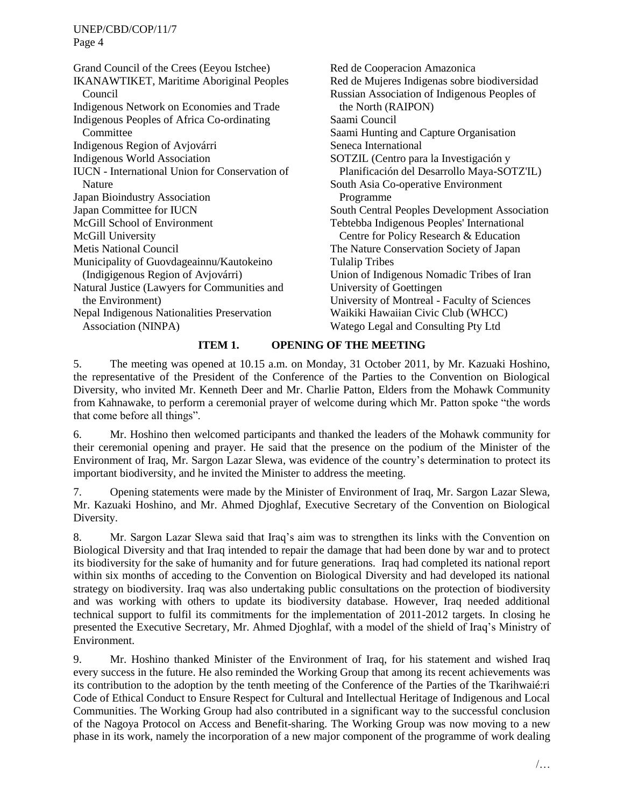Grand Council of the Crees (Eeyou Istchee) IKANAWTIKET, Maritime Aboriginal Peoples Council Indigenous Network on Economies and Trade Indigenous Peoples of Africa Co-ordinating Committee Indigenous Region of Avjovárri Indigenous World Association IUCN - International Union for Conservation of Nature Japan Bioindustry Association Japan Committee for IUCN McGill School of Environment McGill University Metis National Council Municipality of Guovdageainnu/Kautokeino (Indigigenous Region of Avjovárri) Natural Justice (Lawyers for Communities and the Environment) Nepal Indigenous Nationalities Preservation Association (NINPA)

Red de Cooperacion Amazonica Red de Mujeres Indigenas sobre biodiversidad Russian Association of Indigenous Peoples of the North (RAIPON) Saami Council Saami Hunting and Capture Organisation Seneca International SOTZIL (Centro para la Investigación y Planificación del Desarrollo Maya-SOTZ'IL) South Asia Co-operative Environment Programme South Central Peoples Development Association Tebtebba Indigenous Peoples' International Centre for Policy Research & Education The Nature Conservation Society of Japan Tulalip Tribes Union of Indigenous Nomadic Tribes of Iran University of Goettingen University of Montreal - Faculty of Sciences Waikiki Hawaiian Civic Club (WHCC) Watego Legal and Consulting Pty Ltd

# **ITEM 1. OPENING OF THE MEETING**

<span id="page-3-0"></span>5. The meeting was opened at 10.15 a.m. on Monday, 31 October 2011, by Mr. Kazuaki Hoshino, the representative of the President of the Conference of the Parties to the Convention on Biological Diversity, who invited Mr. Kenneth Deer and Mr. Charlie Patton, Elders from the Mohawk Community from Kahnawake, to perform a ceremonial prayer of welcome during which Mr. Patton spoke "the words that come before all things".

6. Mr. Hoshino then welcomed participants and thanked the leaders of the Mohawk community for their ceremonial opening and prayer. He said that the presence on the podium of the Minister of the Environment of Iraq, Mr. Sargon Lazar Slewa, was evidence of the country's determination to protect its important biodiversity, and he invited the Minister to address the meeting.

7. Opening statements were made by the Minister of Environment of Iraq, Mr. Sargon Lazar Slewa, Mr. Kazuaki Hoshino, and Mr. Ahmed Djoghlaf, Executive Secretary of the Convention on Biological Diversity.

8. Mr. Sargon Lazar Slewa said that Iraq's aim was to strengthen its links with the Convention on Biological Diversity and that Iraq intended to repair the damage that had been done by war and to protect its biodiversity for the sake of humanity and for future generations. Iraq had completed its national report within six months of acceding to the Convention on Biological Diversity and had developed its national strategy on biodiversity. Iraq was also undertaking public consultations on the protection of biodiversity and was working with others to update its biodiversity database. However, Iraq needed additional technical support to fulfil its commitments for the implementation of 2011-2012 targets. In closing he presented the Executive Secretary, Mr. Ahmed Djoghlaf, with a model of the shield of Iraq's Ministry of Environment.

9. Mr. Hoshino thanked Minister of the Environment of Iraq, for his statement and wished Iraq every success in the future. He also reminded the Working Group that among its recent achievements was its contribution to the adoption by the tenth meeting of the Conference of the Parties of the Tkarihwaié:ri Code of Ethical Conduct to Ensure Respect for Cultural and Intellectual Heritage of Indigenous and Local Communities. The Working Group had also contributed in a significant way to the successful conclusion of the Nagoya Protocol on Access and Benefit-sharing. The Working Group was now moving to a new phase in its work, namely the incorporation of a new major component of the programme of work dealing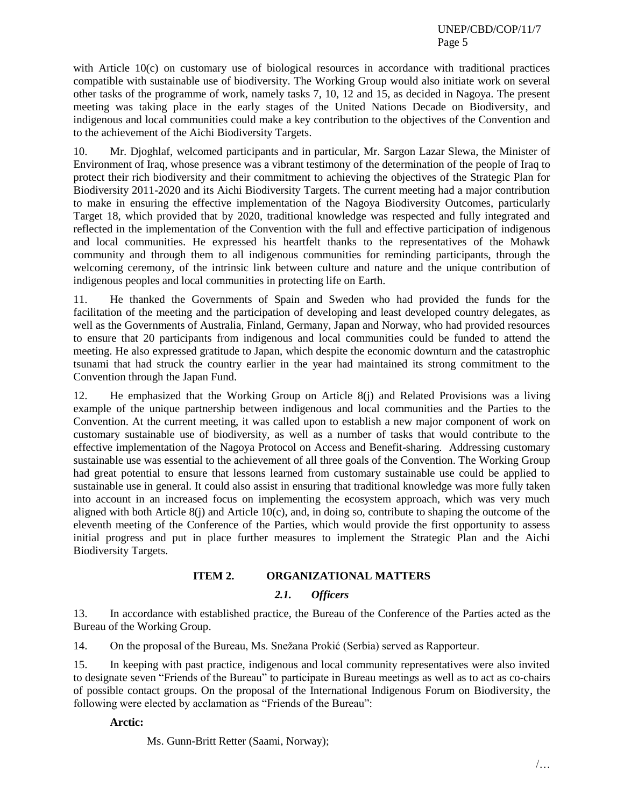with Article 10(c) on customary use of biological resources in accordance with traditional practices compatible with sustainable use of biodiversity. The Working Group would also initiate work on several other tasks of the programme of work, namely tasks 7, 10, 12 and 15, as decided in Nagoya. The present meeting was taking place in the early stages of the United Nations Decade on Biodiversity, and indigenous and local communities could make a key contribution to the objectives of the Convention and to the achievement of the Aichi Biodiversity Targets.

10. Mr. Djoghlaf, welcomed participants and in particular, Mr. Sargon Lazar Slewa, the Minister of Environment of Iraq, whose presence was a vibrant testimony of the determination of the people of Iraq to protect their rich biodiversity and their commitment to achieving the objectives of the Strategic Plan for Biodiversity 2011-2020 and its Aichi Biodiversity Targets. The current meeting had a major contribution to make in ensuring the effective implementation of the Nagoya Biodiversity Outcomes, particularly Target 18, which provided that by 2020, traditional knowledge was respected and fully integrated and reflected in the implementation of the Convention with the full and effective participation of indigenous and local communities. He expressed his heartfelt thanks to the representatives of the Mohawk community and through them to all indigenous communities for reminding participants, through the welcoming ceremony, of the intrinsic link between culture and nature and the unique contribution of indigenous peoples and local communities in protecting life on Earth.

11. He thanked the Governments of Spain and Sweden who had provided the funds for the facilitation of the meeting and the participation of developing and least developed country delegates, as well as the Governments of Australia, Finland, Germany, Japan and Norway, who had provided resources to ensure that 20 participants from indigenous and local communities could be funded to attend the meeting. He also expressed gratitude to Japan, which despite the economic downturn and the catastrophic tsunami that had struck the country earlier in the year had maintained its strong commitment to the Convention through the Japan Fund.

12. He emphasized that the Working Group on Article 8(j) and Related Provisions was a living example of the unique partnership between indigenous and local communities and the Parties to the Convention. At the current meeting, it was called upon to establish a new major component of work on customary sustainable use of biodiversity, as well as a number of tasks that would contribute to the effective implementation of the Nagoya Protocol on Access and Benefit-sharing. Addressing customary sustainable use was essential to the achievement of all three goals of the Convention. The Working Group had great potential to ensure that lessons learned from customary sustainable use could be applied to sustainable use in general. It could also assist in ensuring that traditional knowledge was more fully taken into account in an increased focus on implementing the ecosystem approach, which was very much aligned with both Article  $8(i)$  and Article 10(c), and, in doing so, contribute to shaping the outcome of the eleventh meeting of the Conference of the Parties, which would provide the first opportunity to assess initial progress and put in place further measures to implement the Strategic Plan and the Aichi Biodiversity Targets.

# **ITEM 2. ORGANIZATIONAL MATTERS**

# *2.1. Officers*

<span id="page-4-0"></span>13. In accordance with established practice, the Bureau of the Conference of the Parties acted as the Bureau of the Working Group.

14. On the proposal of the Bureau, Ms. Snežana Prokić (Serbia) served as Rapporteur.

15. In keeping with past practice, indigenous and local community representatives were also invited to designate seven "Friends of the Bureau" to participate in Bureau meetings as well as to act as co-chairs of possible contact groups. On the proposal of the International Indigenous Forum on Biodiversity, the following were elected by acclamation as "Friends of the Bureau":

# **Arctic:**

Ms. Gunn-Britt Retter (Saami, Norway);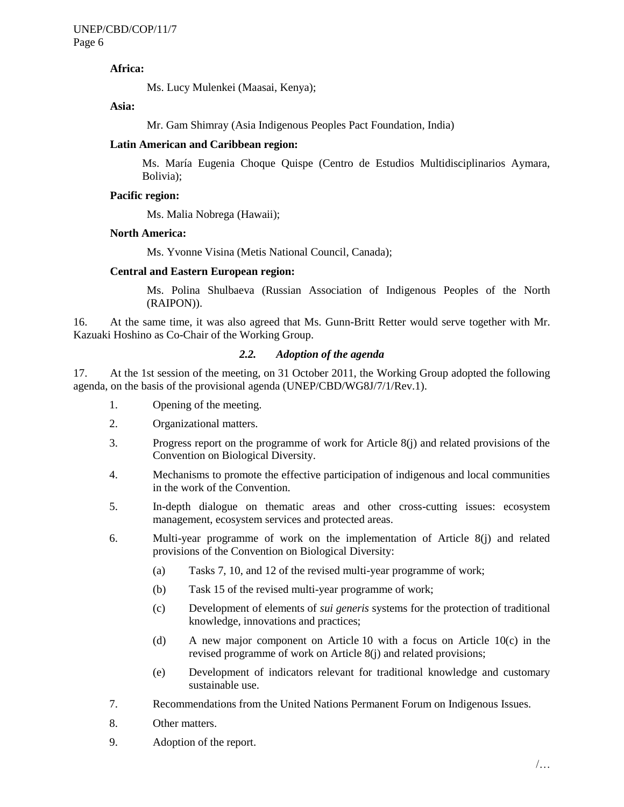# **Africa:**

Ms. Lucy Mulenkei (Maasai, Kenya);

**Asia:**

Mr. Gam Shimray (Asia Indigenous Peoples Pact Foundation, India)

#### **Latin American and Caribbean region:**

Ms. María Eugenia Choque Quispe (Centro de Estudios Multidisciplinarios Aymara, Bolivia);

#### **Pacific region:**

Ms. Malia Nobrega (Hawaii);

#### **North America:**

Ms. Yvonne Visina (Metis National Council, Canada);

# **Central and Eastern European region:**

Ms. Polina Shulbaeva (Russian Association of Indigenous Peoples of the North (RAIPON)).

16. At the same time, it was also agreed that Ms. Gunn-Britt Retter would serve together with Mr. Kazuaki Hoshino as Co-Chair of the Working Group.

# *2.2. Adoption of the agenda*

<span id="page-5-0"></span>17. At the 1st session of the meeting, on 31 October 2011, the Working Group adopted the following agenda, on the basis of the provisional agenda (UNEP/CBD/WG8J/7/1/Rev.1).

- 1. Opening of the meeting.
- 2. Organizational matters.
- 3. Progress report on the programme of work for Article 8(j) and related provisions of the Convention on Biological Diversity.
- 4. Mechanisms to promote the effective participation of indigenous and local communities in the work of the Convention.
- 5. In-depth dialogue on thematic areas and other cross-cutting issues: ecosystem management, ecosystem services and protected areas.
- 6. Multi-year programme of work on the implementation of Article 8(j) and related provisions of the Convention on Biological Diversity:
	- (a) Tasks 7, 10, and 12 of the revised multi-year programme of work;
	- (b) Task 15 of the revised multi-year programme of work;
	- (c) Development of elements of *sui generis* systems for the protection of traditional knowledge, innovations and practices;
	- (d) A new major component on Article 10 with a focus on Article 10(c) in the revised programme of work on Article 8(j) and related provisions;
	- (e) Development of indicators relevant for traditional knowledge and customary sustainable use.
- 7. Recommendations from the United Nations Permanent Forum on Indigenous Issues.
- 8. Other matters.
- 9. Adoption of the report.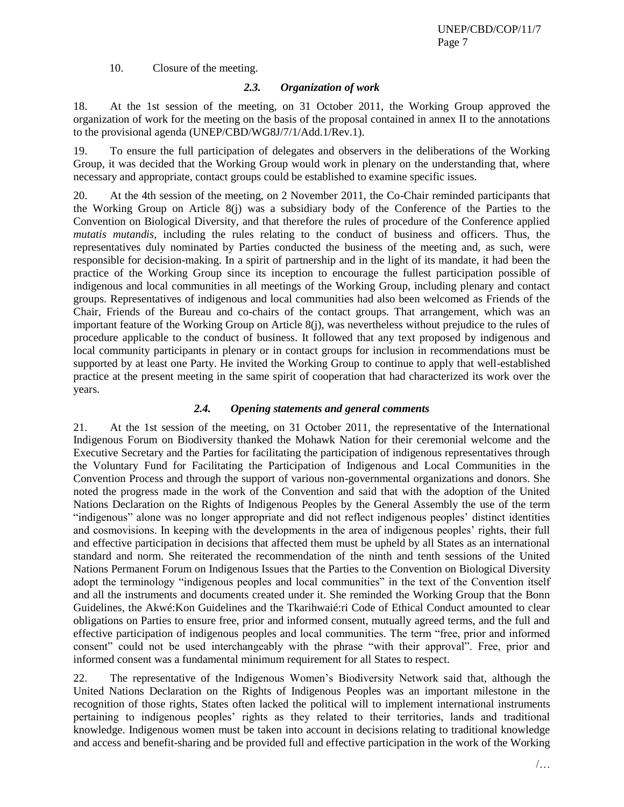10. Closure of the meeting.

# *2.3. Organization of work*

<span id="page-6-0"></span>18. At the 1st session of the meeting, on 31 October 2011, the Working Group approved the organization of work for the meeting on the basis of the proposal contained in annex II to the annotations to the provisional agenda (UNEP/CBD/WG8J/7/1/Add.1/Rev.1).

19. To ensure the full participation of delegates and observers in the deliberations of the Working Group, it was decided that the Working Group would work in plenary on the understanding that, where necessary and appropriate, contact groups could be established to examine specific issues.

20. At the 4th session of the meeting, on 2 November 2011, the Co-Chair reminded participants that the Working Group on Article 8(j) was a subsidiary body of the Conference of the Parties to the Convention on Biological Diversity, and that therefore the rules of procedure of the Conference applied *mutatis mutandis*, including the rules relating to the conduct of business and officers. Thus, the representatives duly nominated by Parties conducted the business of the meeting and, as such, were responsible for decision-making. In a spirit of partnership and in the light of its mandate, it had been the practice of the Working Group since its inception to encourage the fullest participation possible of indigenous and local communities in all meetings of the Working Group, including plenary and contact groups. Representatives of indigenous and local communities had also been welcomed as Friends of the Chair, Friends of the Bureau and co-chairs of the contact groups. That arrangement, which was an important feature of the Working Group on Article 8(j), was nevertheless without prejudice to the rules of procedure applicable to the conduct of business. It followed that any text proposed by indigenous and local community participants in plenary or in contact groups for inclusion in recommendations must be supported by at least one Party. He invited the Working Group to continue to apply that well-established practice at the present meeting in the same spirit of cooperation that had characterized its work over the years.

# *2.4. Opening statements and general comments*

<span id="page-6-1"></span>21. At the 1st session of the meeting, on 31 October 2011, the representative of the International Indigenous Forum on Biodiversity thanked the Mohawk Nation for their ceremonial welcome and the Executive Secretary and the Parties for facilitating the participation of indigenous representatives through the Voluntary Fund for Facilitating the Participation of Indigenous and Local Communities in the Convention Process and through the support of various non-governmental organizations and donors. She noted the progress made in the work of the Convention and said that with the adoption of the United Nations Declaration on the Rights of Indigenous Peoples by the General Assembly the use of the term "indigenous" alone was no longer appropriate and did not reflect indigenous peoples' distinct identities and cosmovisions. In keeping with the developments in the area of indigenous peoples' rights, their full and effective participation in decisions that affected them must be upheld by all States as an international standard and norm. She reiterated the recommendation of the ninth and tenth sessions of the United Nations Permanent Forum on Indigenous Issues that the Parties to the Convention on Biological Diversity adopt the terminology "indigenous peoples and local communities" in the text of the Convention itself and all the instruments and documents created under it. She reminded the Working Group that the Bonn Guidelines, the Akwé:Kon Guidelines and the Tkarihwaié:ri Code of Ethical Conduct amounted to clear obligations on Parties to ensure free, prior and informed consent, mutually agreed terms, and the full and effective participation of indigenous peoples and local communities. The term "free, prior and informed consent" could not be used interchangeably with the phrase "with their approval". Free, prior and informed consent was a fundamental minimum requirement for all States to respect.

22. The representative of the Indigenous Women's Biodiversity Network said that, although the United Nations Declaration on the Rights of Indigenous Peoples was an important milestone in the recognition of those rights, States often lacked the political will to implement international instruments pertaining to indigenous peoples' rights as they related to their territories, lands and traditional knowledge. Indigenous women must be taken into account in decisions relating to traditional knowledge and access and benefit-sharing and be provided full and effective participation in the work of the Working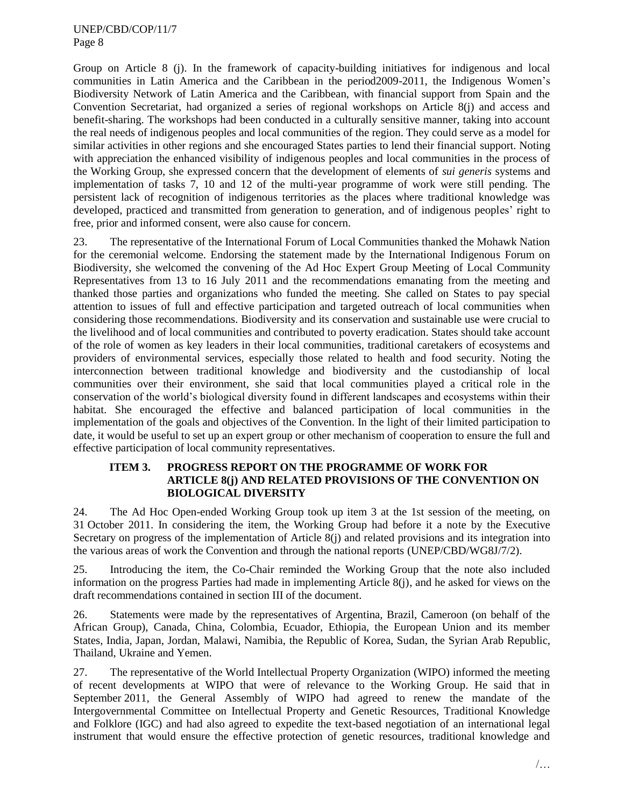Group on Article 8 (j). In the framework of capacity-building initiatives for indigenous and local communities in Latin America and the Caribbean in the period2009-2011, the Indigenous Women's Biodiversity Network of Latin America and the Caribbean, with financial support from Spain and the Convention Secretariat, had organized a series of regional workshops on Article 8(j) and access and benefit-sharing. The workshops had been conducted in a culturally sensitive manner, taking into account the real needs of indigenous peoples and local communities of the region. They could serve as a model for similar activities in other regions and she encouraged States parties to lend their financial support. Noting with appreciation the enhanced visibility of indigenous peoples and local communities in the process of the Working Group, she expressed concern that the development of elements of *sui generis* systems and implementation of tasks 7, 10 and 12 of the multi-year programme of work were still pending. The persistent lack of recognition of indigenous territories as the places where traditional knowledge was developed, practiced and transmitted from generation to generation, and of indigenous peoples' right to free, prior and informed consent, were also cause for concern.

23. The representative of the International Forum of Local Communities thanked the Mohawk Nation for the ceremonial welcome. Endorsing the statement made by the International Indigenous Forum on Biodiversity, she welcomed the convening of the Ad Hoc Expert Group Meeting of Local Community Representatives from 13 to 16 July 2011 and the recommendations emanating from the meeting and thanked those parties and organizations who funded the meeting. She called on States to pay special attention to issues of full and effective participation and targeted outreach of local communities when considering those recommendations. Biodiversity and its conservation and sustainable use were crucial to the livelihood and of local communities and contributed to poverty eradication. States should take account of the role of women as key leaders in their local communities, traditional caretakers of ecosystems and providers of environmental services, especially those related to health and food security. Noting the interconnection between traditional knowledge and biodiversity and the custodianship of local communities over their environment, she said that local communities played a critical role in the conservation of the world's biological diversity found in different landscapes and ecosystems within their habitat. She encouraged the effective and balanced participation of local communities in the implementation of the goals and objectives of the Convention. In the light of their limited participation to date, it would be useful to set up an expert group or other mechanism of cooperation to ensure the full and effective participation of local community representatives.

# <span id="page-7-0"></span>**ITEM 3. PROGRESS REPORT ON THE PROGRAMME OF WORK FOR ARTICLE 8(j) AND RELATED PROVISIONS OF THE CONVENTION ON BIOLOGICAL DIVERSITY**

24. The Ad Hoc Open-ended Working Group took up item 3 at the 1st session of the meeting, on 31 October 2011. In considering the item, the Working Group had before it a note by the Executive Secretary on progress of the implementation of Article 8(j) and related provisions and its integration into the various areas of work the Convention and through the national reports (UNEP/CBD/WG8J/7/2).

25. Introducing the item, the Co-Chair reminded the Working Group that the note also included information on the progress Parties had made in implementing Article 8(j), and he asked for views on the draft recommendations contained in section III of the document.

26. Statements were made by the representatives of Argentina, Brazil, Cameroon (on behalf of the African Group), Canada, China, Colombia, Ecuador, Ethiopia, the European Union and its member States, India, Japan, Jordan, Malawi, Namibia, the Republic of Korea, Sudan, the Syrian Arab Republic, Thailand, Ukraine and Yemen.

27. The representative of the World Intellectual Property Organization (WIPO) informed the meeting of recent developments at WIPO that were of relevance to the Working Group. He said that in September 2011, the General Assembly of WIPO had agreed to renew the mandate of the Intergovernmental Committee on Intellectual Property and Genetic Resources, Traditional Knowledge and Folklore (IGC) and had also agreed to expedite the text-based negotiation of an international legal instrument that would ensure the effective protection of genetic resources, traditional knowledge and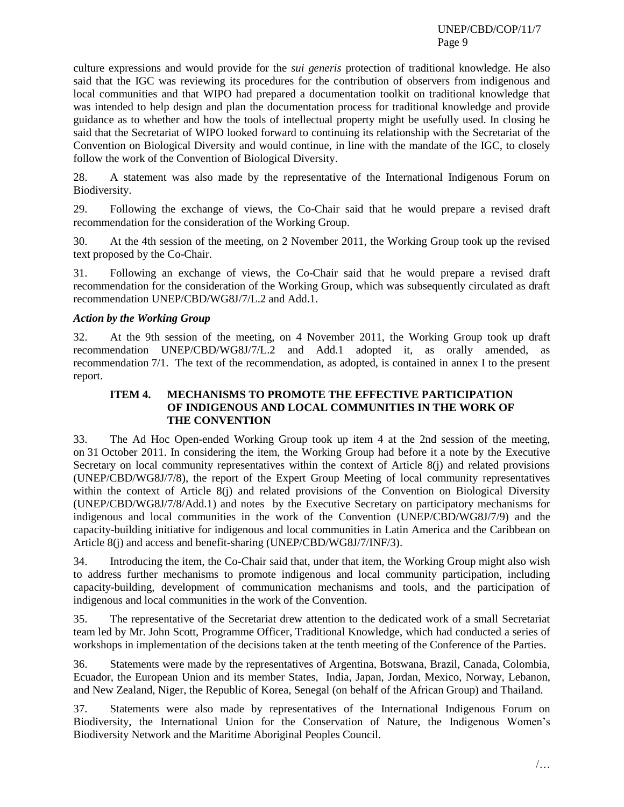culture expressions and would provide for the *sui generis* protection of traditional knowledge. He also said that the IGC was reviewing its procedures for the contribution of observers from indigenous and local communities and that WIPO had prepared a documentation toolkit on traditional knowledge that was intended to help design and plan the documentation process for traditional knowledge and provide guidance as to whether and how the tools of intellectual property might be usefully used. In closing he said that the Secretariat of WIPO looked forward to continuing its relationship with the Secretariat of the Convention on Biological Diversity and would continue, in line with the mandate of the IGC, to closely follow the work of the Convention of Biological Diversity.

28. A statement was also made by the representative of the International Indigenous Forum on Biodiversity.

29. Following the exchange of views, the Co-Chair said that he would prepare a revised draft recommendation for the consideration of the Working Group.

30. At the 4th session of the meeting, on 2 November 2011, the Working Group took up the revised text proposed by the Co-Chair.

31. Following an exchange of views, the Co-Chair said that he would prepare a revised draft recommendation for the consideration of the Working Group, which was subsequently circulated as draft recommendation UNEP/CBD/WG8J/7/L.2 and Add.1.

# *Action by the Working Group*

32. At the 9th session of the meeting, on 4 November 2011, the Working Group took up draft recommendation UNEP/CBD/WG8J/7/L.2 and Add.1 adopted it, as orally amended, as recommendation 7/1. The text of the recommendation, as adopted, is contained in annex I to the present report.

# <span id="page-8-0"></span>**ITEM 4. MECHANISMS TO PROMOTE THE EFFECTIVE PARTICIPATION OF INDIGENOUS AND LOCAL COMMUNITIES IN THE WORK OF THE CONVENTION**

33. The Ad Hoc Open-ended Working Group took up item 4 at the 2nd session of the meeting, on 31 October 2011. In considering the item, the Working Group had before it a note by the Executive Secretary on local community representatives within the context of Article 8(j) and related provisions (UNEP/CBD/WG8J/7/8), the report of the Expert Group Meeting of local community representatives within the context of Article 8(j) and related provisions of the Convention on Biological Diversity (UNEP/CBD/WG8J/7/8/Add.1) and notes by the Executive Secretary on participatory mechanisms for indigenous and local communities in the work of the Convention (UNEP/CBD/WG8J/7/9) and the capacity-building initiative for indigenous and local communities in Latin America and the Caribbean on Article 8(j) and access and benefit-sharing (UNEP/CBD/WG8J/7/INF/3).

34. Introducing the item, the Co-Chair said that, under that item, the Working Group might also wish to address further mechanisms to promote indigenous and local community participation, including capacity-building, development of communication mechanisms and tools, and the participation of indigenous and local communities in the work of the Convention.

35. The representative of the Secretariat drew attention to the dedicated work of a small Secretariat team led by Mr. John Scott, Programme Officer, Traditional Knowledge, which had conducted a series of workshops in implementation of the decisions taken at the tenth meeting of the Conference of the Parties.

36. Statements were made by the representatives of Argentina, Botswana, Brazil, Canada, Colombia, Ecuador, the European Union and its member States, India, Japan, Jordan, Mexico, Norway, Lebanon, and New Zealand, Niger, the Republic of Korea, Senegal (on behalf of the African Group) and Thailand.

37. Statements were also made by representatives of the International Indigenous Forum on Biodiversity, the International Union for the Conservation of Nature, the Indigenous Women's Biodiversity Network and the Maritime Aboriginal Peoples Council.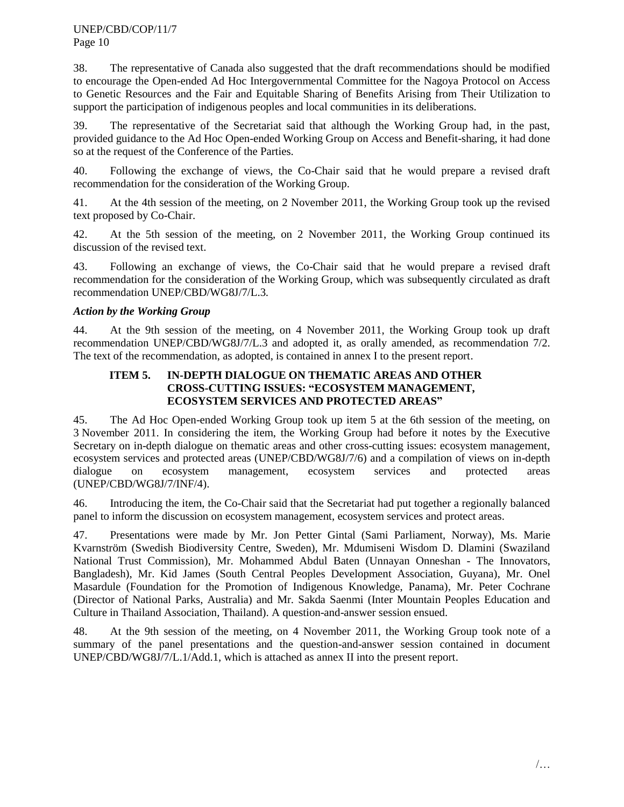38. The representative of Canada also suggested that the draft recommendations should be modified to encourage the Open-ended Ad Hoc Intergovernmental Committee for the Nagoya Protocol on Access to Genetic Resources and the Fair and Equitable Sharing of Benefits Arising from Their Utilization to support the participation of indigenous peoples and local communities in its deliberations.

39. The representative of the Secretariat said that although the Working Group had, in the past, provided guidance to the Ad Hoc Open-ended Working Group on Access and Benefit-sharing, it had done so at the request of the Conference of the Parties.

40. Following the exchange of views, the Co-Chair said that he would prepare a revised draft recommendation for the consideration of the Working Group.

41. At the 4th session of the meeting, on 2 November 2011, the Working Group took up the revised text proposed by Co-Chair.

42. At the 5th session of the meeting, on 2 November 2011, the Working Group continued its discussion of the revised text.

43. Following an exchange of views, the Co-Chair said that he would prepare a revised draft recommendation for the consideration of the Working Group, which was subsequently circulated as draft recommendation UNEP/CBD/WG8J/7/L.3*.*

# *Action by the Working Group*

44. At the 9th session of the meeting, on 4 November 2011, the Working Group took up draft recommendation UNEP/CBD/WG8J/7/L.3 and adopted it, as orally amended, as recommendation 7/2. The text of the recommendation, as adopted, is contained in annex I to the present report.

# <span id="page-9-0"></span>**ITEM 5. IN-DEPTH DIALOGUE ON THEMATIC AREAS AND OTHER CROSS-CUTTING ISSUES: "ECOSYSTEM MANAGEMENT, ECOSYSTEM SERVICES AND PROTECTED AREAS"**

45. The Ad Hoc Open-ended Working Group took up item 5 at the 6th session of the meeting, on 3 November 2011. In considering the item, the Working Group had before it notes by the Executive Secretary on in-depth dialogue on thematic areas and other cross-cutting issues: ecosystem management, ecosystem services and protected areas (UNEP/CBD/WG8J/7/6) and a compilation of views on in-depth dialogue on ecosystem management, ecosystem services and protected areas (UNEP/CBD/WG8J/7/INF/4).

46. Introducing the item, the Co-Chair said that the Secretariat had put together a regionally balanced panel to inform the discussion on ecosystem management, ecosystem services and protect areas.

47. Presentations were made by Mr. Jon Petter Gintal (Sami Parliament, Norway), Ms. Marie Kvarnström (Swedish Biodiversity Centre, Sweden), Mr. Mdumiseni Wisdom D. Dlamini (Swaziland National Trust Commission), Mr. Mohammed Abdul Baten (Unnayan Onneshan - The Innovators, Bangladesh), Mr. Kid James (South Central Peoples Development Association, Guyana), Mr. Onel Masardule (Foundation for the Promotion of Indigenous Knowledge, Panama), Mr. Peter Cochrane (Director of National Parks, Australia) and Mr. Sakda Saenmi (Inter Mountain Peoples Education and Culture in Thailand Association, Thailand). A question-and-answer session ensued.

48. At the 9th session of the meeting, on 4 November 2011, the Working Group took note of a summary of the panel presentations and the question-and-answer session contained in document UNEP/CBD/WG8J/7/L.1/Add.1, which is attached as annex II into the present report.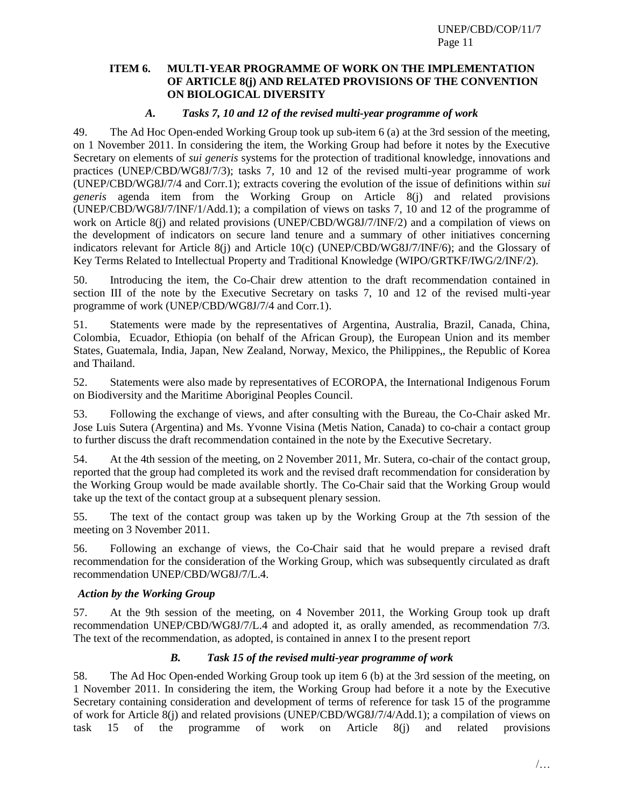# <span id="page-10-0"></span>**ITEM 6. MULTI-YEAR PROGRAMME OF WORK ON THE IMPLEMENTATION OF ARTICLE 8(j) AND RELATED PROVISIONS OF THE CONVENTION ON BIOLOGICAL DIVERSITY**

# *A. Tasks 7, 10 and 12 of the revised multi-year programme of work*

<span id="page-10-1"></span>49. The Ad Hoc Open-ended Working Group took up sub-item 6 (a) at the 3rd session of the meeting, on 1 November 2011. In considering the item, the Working Group had before it notes by the Executive Secretary on elements of *sui generis* systems for the protection of traditional knowledge, innovations and practices (UNEP/CBD/WG8J/7/3); tasks 7, 10 and 12 of the revised multi-year programme of work (UNEP/CBD/WG8J/7/4 and Corr.1); extracts covering the evolution of the issue of definitions within *sui generis* agenda item from the Working Group on Article 8(j) and related provisions (UNEP/CBD/WG8J/7/INF/1/Add.1); a compilation of views on tasks 7, 10 and 12 of the programme of work on Article 8(j) and related provisions (UNEP/CBD/WG8J/7/INF/2) and a compilation of views on the development of indicators on secure land tenure and a summary of other initiatives concerning indicators relevant for Article 8(j) and Article 10(c) (UNEP/CBD/WG8J/7/INF/6); and the Glossary of Key Terms Related to Intellectual Property and Traditional Knowledge (WIPO/GRTKF/IWG/2/INF/2).

50. Introducing the item, the Co-Chair drew attention to the draft recommendation contained in section III of the note by the Executive Secretary on tasks 7, 10 and 12 of the revised multi-year programme of work (UNEP/CBD/WG8J/7/4 and Corr.1).

51. Statements were made by the representatives of Argentina, Australia, Brazil, Canada, China, Colombia, Ecuador, Ethiopia (on behalf of the African Group), the European Union and its member States, Guatemala, India, Japan, New Zealand, Norway, Mexico, the Philippines,, the Republic of Korea and Thailand.

52. Statements were also made by representatives of ECOROPA, the International Indigenous Forum on Biodiversity and the Maritime Aboriginal Peoples Council.

53. Following the exchange of views, and after consulting with the Bureau, the Co-Chair asked Mr. Jose Luis Sutera (Argentina) and Ms. Yvonne Visina (Metis Nation, Canada) to co-chair a contact group to further discuss the draft recommendation contained in the note by the Executive Secretary.

54. At the 4th session of the meeting, on 2 November 2011, Mr. Sutera, co-chair of the contact group, reported that the group had completed its work and the revised draft recommendation for consideration by the Working Group would be made available shortly. The Co-Chair said that the Working Group would take up the text of the contact group at a subsequent plenary session.

55. The text of the contact group was taken up by the Working Group at the 7th session of the meeting on 3 November 2011.

56. Following an exchange of views, the Co-Chair said that he would prepare a revised draft recommendation for the consideration of the Working Group, which was subsequently circulated as draft recommendation UNEP/CBD/WG8J/7/L.4.

# *Action by the Working Group*

57. At the 9th session of the meeting, on 4 November 2011, the Working Group took up draft recommendation UNEP/CBD/WG8J/7/L.4 and adopted it, as orally amended, as recommendation 7/3. The text of the recommendation, as adopted, is contained in annex I to the present report

# *B. Task 15 of the revised multi-year programme of work*

<span id="page-10-2"></span>58. The Ad Hoc Open-ended Working Group took up item 6 (b) at the 3rd session of the meeting, on 1 November 2011. In considering the item, the Working Group had before it a note by the Executive Secretary containing consideration and development of terms of reference for task 15 of the programme of work for Article 8(j) and related provisions (UNEP/CBD/WG8J/7/4/Add.1); a compilation of views on task 15 of the programme of work on Article 8(j) and related provisions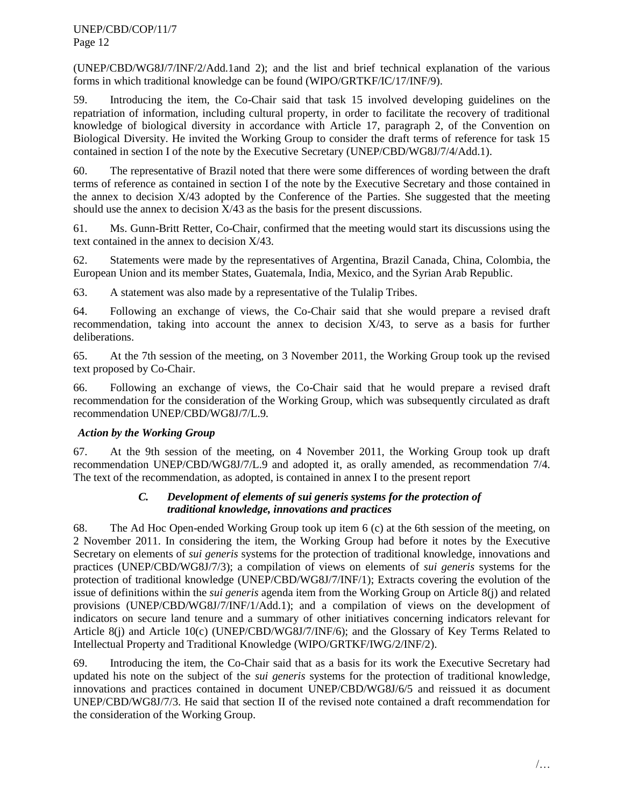(UNEP/CBD/WG8J/7/INF/2/Add.1and 2); and the list and brief technical explanation of the various forms in which traditional knowledge can be found (WIPO/GRTKF/IC/17/INF/9).

59. Introducing the item, the Co-Chair said that task 15 involved developing guidelines on the repatriation of information, including cultural property, in order to facilitate the recovery of traditional knowledge of biological diversity in accordance with Article 17, paragraph 2, of the Convention on Biological Diversity. He invited the Working Group to consider the draft terms of reference for task 15 contained in section I of the note by the Executive Secretary (UNEP/CBD/WG8J/7/4/Add.1).

60. The representative of Brazil noted that there were some differences of wording between the draft terms of reference as contained in section I of the note by the Executive Secretary and those contained in the annex to decision X/43 adopted by the Conference of the Parties. She suggested that the meeting should use the annex to decision X/43 as the basis for the present discussions.

61. Ms. Gunn-Britt Retter, Co-Chair, confirmed that the meeting would start its discussions using the text contained in the annex to decision X/43.

62. Statements were made by the representatives of Argentina, Brazil Canada, China, Colombia, the European Union and its member States, Guatemala, India, Mexico, and the Syrian Arab Republic.

63. A statement was also made by a representative of the Tulalip Tribes.

64. Following an exchange of views, the Co-Chair said that she would prepare a revised draft recommendation, taking into account the annex to decision X/43, to serve as a basis for further deliberations.

65. At the 7th session of the meeting, on 3 November 2011, the Working Group took up the revised text proposed by Co-Chair.

66. Following an exchange of views, the Co-Chair said that he would prepare a revised draft recommendation for the consideration of the Working Group, which was subsequently circulated as draft recommendation UNEP/CBD/WG8J/7/L.9*.*

# *Action by the Working Group*

67. At the 9th session of the meeting, on 4 November 2011, the Working Group took up draft recommendation UNEP/CBD/WG8J/7/L.9 and adopted it, as orally amended, as recommendation 7/4. The text of the recommendation, as adopted, is contained in annex I to the present report

# *C. Development of elements of sui generis systems for the protection of traditional knowledge, innovations and practices*

<span id="page-11-0"></span>68. The Ad Hoc Open-ended Working Group took up item 6 (c) at the 6th session of the meeting, on 2 November 2011. In considering the item, the Working Group had before it notes by the Executive Secretary on elements of *sui generis* systems for the protection of traditional knowledge, innovations and practices (UNEP/CBD/WG8J/7/3); a compilation of views on elements of *sui generis* systems for the protection of traditional knowledge (UNEP/CBD/WG8J/7/INF/1); Extracts covering the evolution of the issue of definitions within the *sui generis* agenda item from the Working Group on Article 8(j) and related provisions (UNEP/CBD/WG8J/7/INF/1/Add.1); and a compilation of views on the development of indicators on secure land tenure and a summary of other initiatives concerning indicators relevant for Article 8(j) and Article 10(c) (UNEP/CBD/WG8J/7/INF/6); and the Glossary of Key Terms Related to Intellectual Property and Traditional Knowledge (WIPO/GRTKF/IWG/2/INF/2).

69. Introducing the item, the Co-Chair said that as a basis for its work the Executive Secretary had updated his note on the subject of the *sui generis* systems for the protection of traditional knowledge, innovations and practices contained in document UNEP/CBD/WG8J/6/5 and reissued it as document UNEP/CBD/WG8J/7/3. He said that section II of the revised note contained a draft recommendation for the consideration of the Working Group.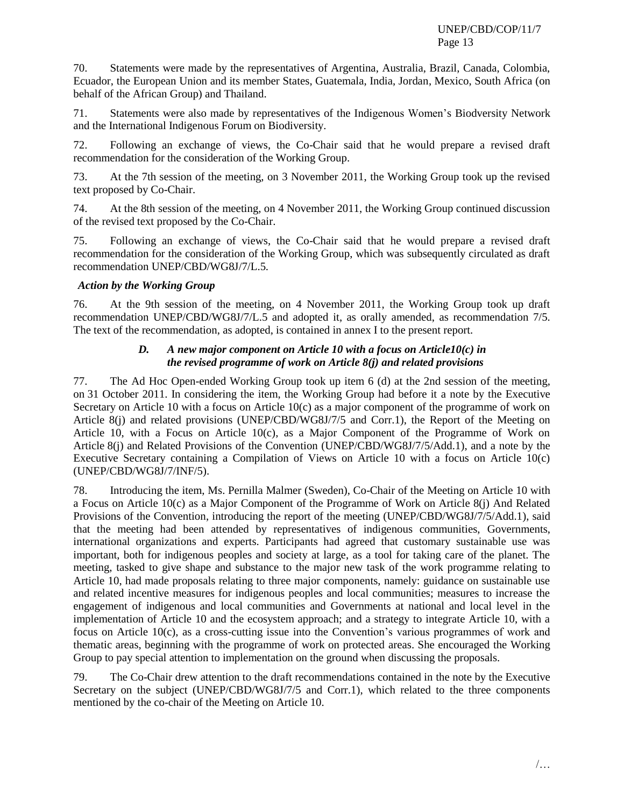70. Statements were made by the representatives of Argentina, Australia, Brazil, Canada, Colombia, Ecuador, the European Union and its member States, Guatemala, India, Jordan, Mexico, South Africa (on behalf of the African Group) and Thailand.

71. Statements were also made by representatives of the Indigenous Women's Biodversity Network and the International Indigenous Forum on Biodiversity.

72. Following an exchange of views, the Co-Chair said that he would prepare a revised draft recommendation for the consideration of the Working Group.

73. At the 7th session of the meeting, on 3 November 2011, the Working Group took up the revised text proposed by Co-Chair.

74. At the 8th session of the meeting, on 4 November 2011, the Working Group continued discussion of the revised text proposed by the Co-Chair.

75. Following an exchange of views, the Co-Chair said that he would prepare a revised draft recommendation for the consideration of the Working Group, which was subsequently circulated as draft recommendation UNEP/CBD/WG8J/7/L.5*.*

# *Action by the Working Group*

76. At the 9th session of the meeting, on 4 November 2011, the Working Group took up draft recommendation UNEP/CBD/WG8J/7/L.5 and adopted it, as orally amended, as recommendation 7/5. The text of the recommendation, as adopted, is contained in annex I to the present report*.*

# *D. A new major component on Article 10 with a focus on Article10(c) in the revised programme of work on Article 8(j) and related provisions*

<span id="page-12-0"></span>77. The Ad Hoc Open-ended Working Group took up item 6 (d) at the 2nd session of the meeting, on 31 October 2011. In considering the item, the Working Group had before it a note by the Executive Secretary on Article 10 with a focus on Article 10(c) as a major component of the programme of work on Article 8(j) and related provisions (UNEP/CBD/WG8J/7/5 and Corr.1), the Report of the Meeting on Article 10, with a Focus on Article 10(c), as a Major Component of the Programme of Work on Article 8(j) and Related Provisions of the Convention (UNEP/CBD/WG8J/7/5/Add.1), and a note by the Executive Secretary containing a Compilation of Views on Article 10 with a focus on Article 10(c) (UNEP/CBD/WG8J/7/INF/5).

78. Introducing the item, Ms. Pernilla Malmer (Sweden), Co-Chair of the Meeting on Article 10 with a Focus on Article 10(c) as a Major Component of the Programme of Work on Article 8(j) And Related Provisions of the Convention, introducing the report of the meeting (UNEP/CBD/WG8J/7/5/Add.1), said that the meeting had been attended by representatives of indigenous communities, Governments, international organizations and experts. Participants had agreed that customary sustainable use was important, both for indigenous peoples and society at large, as a tool for taking care of the planet. The meeting, tasked to give shape and substance to the major new task of the work programme relating to Article 10, had made proposals relating to three major components, namely: guidance on sustainable use and related incentive measures for indigenous peoples and local communities; measures to increase the engagement of indigenous and local communities and Governments at national and local level in the implementation of Article 10 and the ecosystem approach; and a strategy to integrate Article 10, with a focus on Article 10(c), as a cross-cutting issue into the Convention's various programmes of work and thematic areas, beginning with the programme of work on protected areas. She encouraged the Working Group to pay special attention to implementation on the ground when discussing the proposals.

79. The Co-Chair drew attention to the draft recommendations contained in the note by the Executive Secretary on the subject (UNEP/CBD/WG8J/7/5 and Corr.1), which related to the three components mentioned by the co-chair of the Meeting on Article 10.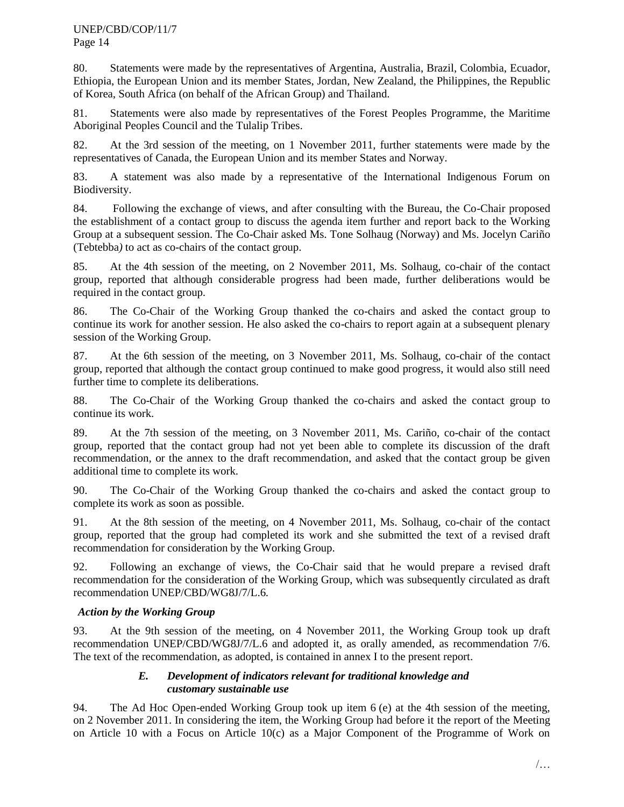80. Statements were made by the representatives of Argentina, Australia, Brazil, Colombia, Ecuador, Ethiopia, the European Union and its member States, Jordan, New Zealand, the Philippines, the Republic of Korea, South Africa (on behalf of the African Group) and Thailand.

81. Statements were also made by representatives of the Forest Peoples Programme, the Maritime Aboriginal Peoples Council and the Tulalip Tribes.

82. At the 3rd session of the meeting, on 1 November 2011, further statements were made by the representatives of Canada, the European Union and its member States and Norway.

83. A statement was also made by a representative of the International Indigenous Forum on Biodiversity.

84. Following the exchange of views, and after consulting with the Bureau, the Co-Chair proposed the establishment of a contact group to discuss the agenda item further and report back to the Working Group at a subsequent session. The Co-Chair asked Ms. Tone Solhaug (Norway) and Ms. Jocelyn Cariño (Tebtebba*)* to act as co-chairs of the contact group.

85. At the 4th session of the meeting, on 2 November 2011, Ms. Solhaug, co-chair of the contact group, reported that although considerable progress had been made, further deliberations would be required in the contact group.

86. The Co-Chair of the Working Group thanked the co-chairs and asked the contact group to continue its work for another session. He also asked the co-chairs to report again at a subsequent plenary session of the Working Group.

87. At the 6th session of the meeting, on 3 November 2011, Ms. Solhaug, co-chair of the contact group, reported that although the contact group continued to make good progress, it would also still need further time to complete its deliberations.

88. The Co-Chair of the Working Group thanked the co-chairs and asked the contact group to continue its work.

89. At the 7th session of the meeting, on 3 November 2011, Ms. Cariño, co-chair of the contact group, reported that the contact group had not yet been able to complete its discussion of the draft recommendation, or the annex to the draft recommendation, and asked that the contact group be given additional time to complete its work.

90. The Co-Chair of the Working Group thanked the co-chairs and asked the contact group to complete its work as soon as possible.

91. At the 8th session of the meeting, on 4 November 2011, Ms. Solhaug, co-chair of the contact group, reported that the group had completed its work and she submitted the text of a revised draft recommendation for consideration by the Working Group.

92. Following an exchange of views, the Co-Chair said that he would prepare a revised draft recommendation for the consideration of the Working Group, which was subsequently circulated as draft recommendation UNEP/CBD/WG8J/7/L.6*.*

# *Action by the Working Group*

93. At the 9th session of the meeting, on 4 November 2011, the Working Group took up draft recommendation UNEP/CBD/WG8J/7/L.6 and adopted it, as orally amended, as recommendation 7/6. The text of the recommendation, as adopted, is contained in annex I to the present report.

# *E. Development of indicators relevant for traditional knowledge and customary sustainable use*

<span id="page-13-0"></span>94. The Ad Hoc Open-ended Working Group took up item 6 (e) at the 4th session of the meeting, on 2 November 2011. In considering the item, the Working Group had before it the report of the Meeting on Article 10 with a Focus on Article 10(c) as a Major Component of the Programme of Work on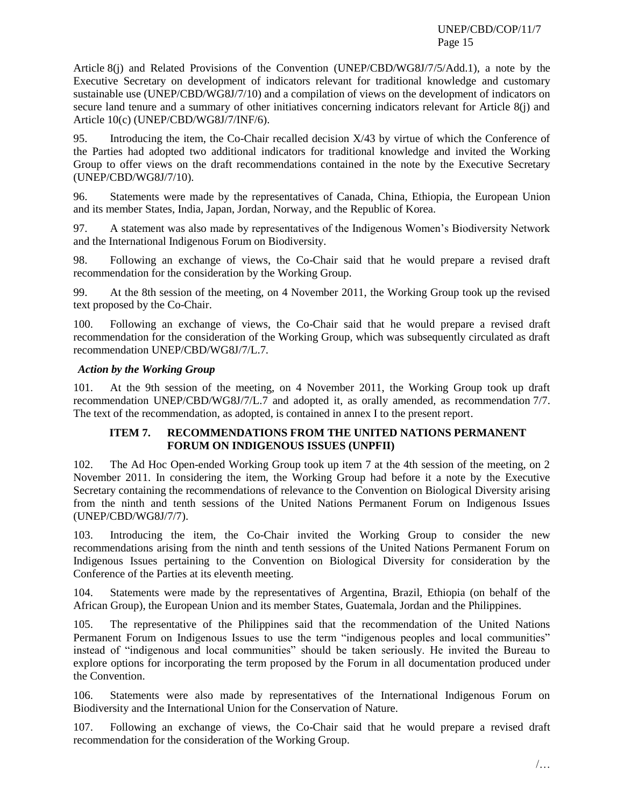Article 8(j) and Related Provisions of the Convention (UNEP/CBD/WG8J/7/5/Add.1), a note by the Executive Secretary on development of indicators relevant for traditional knowledge and customary sustainable use (UNEP/CBD/WG8J/7/10) and a compilation of views on the development of indicators on secure land tenure and a summary of other initiatives concerning indicators relevant for Article 8(j) and Article 10(c) (UNEP/CBD/WG8J/7/INF/6).

95. Introducing the item, the Co-Chair recalled decision X/43 by virtue of which the Conference of the Parties had adopted two additional indicators for traditional knowledge and invited the Working Group to offer views on the draft recommendations contained in the note by the Executive Secretary (UNEP/CBD/WG8J/7/10).

96. Statements were made by the representatives of Canada, China, Ethiopia, the European Union and its member States, India, Japan, Jordan, Norway, and the Republic of Korea.

97. A statement was also made by representatives of the Indigenous Women's Biodiversity Network and the International Indigenous Forum on Biodiversity.

98. Following an exchange of views, the Co-Chair said that he would prepare a revised draft recommendation for the consideration by the Working Group.

99. At the 8th session of the meeting, on 4 November 2011, the Working Group took up the revised text proposed by the Co-Chair.

100. Following an exchange of views, the Co-Chair said that he would prepare a revised draft recommendation for the consideration of the Working Group, which was subsequently circulated as draft recommendation UNEP/CBD/WG8J/7/L.7*.*

# *Action by the Working Group*

101. At the 9th session of the meeting, on 4 November 2011, the Working Group took up draft recommendation UNEP/CBD/WG8J/7/L.7 and adopted it, as orally amended, as recommendation 7/7. The text of the recommendation, as adopted, is contained in annex I to the present report.

# **ITEM 7. RECOMMENDATIONS FROM THE UNITED NATIONS PERMANENT FORUM ON INDIGENOUS ISSUES (UNPFII)**

<span id="page-14-0"></span>102. The Ad Hoc Open-ended Working Group took up item 7 at the 4th session of the meeting, on 2 November 2011. In considering the item, the Working Group had before it a note by the Executive Secretary containing the recommendations of relevance to the Convention on Biological Diversity arising from the ninth and tenth sessions of the United Nations Permanent Forum on Indigenous Issues (UNEP/CBD/WG8J/7/7).

103. Introducing the item, the Co-Chair invited the Working Group to consider the new recommendations arising from the ninth and tenth sessions of the United Nations Permanent Forum on Indigenous Issues pertaining to the Convention on Biological Diversity for consideration by the Conference of the Parties at its eleventh meeting.

104. Statements were made by the representatives of Argentina, Brazil, Ethiopia (on behalf of the African Group), the European Union and its member States, Guatemala, Jordan and the Philippines.

105. The representative of the Philippines said that the recommendation of the United Nations Permanent Forum on Indigenous Issues to use the term "indigenous peoples and local communities" instead of "indigenous and local communities" should be taken seriously. He invited the Bureau to explore options for incorporating the term proposed by the Forum in all documentation produced under the Convention.

106. Statements were also made by representatives of the International Indigenous Forum on Biodiversity and the International Union for the Conservation of Nature.

107. Following an exchange of views, the Co-Chair said that he would prepare a revised draft recommendation for the consideration of the Working Group.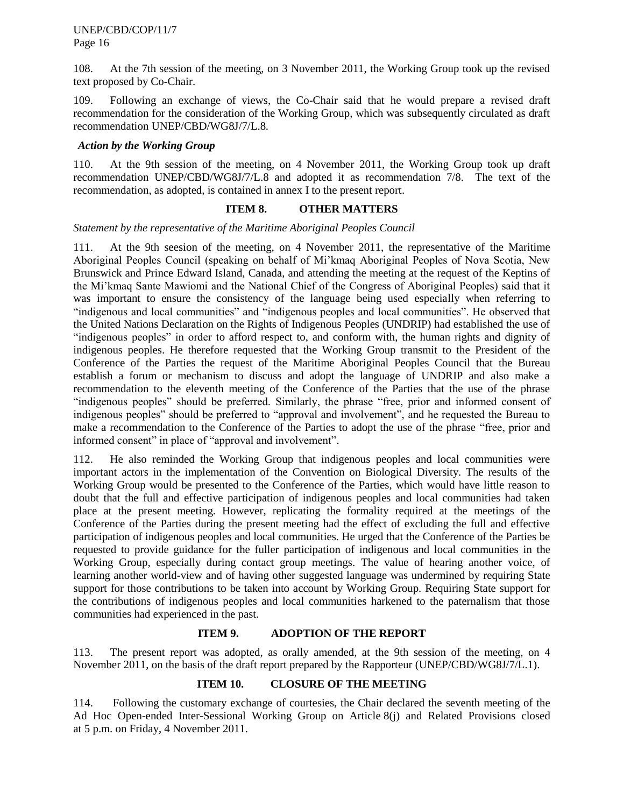108. At the 7th session of the meeting, on 3 November 2011, the Working Group took up the revised text proposed by Co-Chair.

109. Following an exchange of views, the Co-Chair said that he would prepare a revised draft recommendation for the consideration of the Working Group, which was subsequently circulated as draft recommendation UNEP/CBD/WG8J/7/L.8*.* 

#### *Action by the Working Group*

110. At the 9th session of the meeting, on 4 November 2011, the Working Group took up draft recommendation UNEP/CBD/WG8J/7/L.8 and adopted it as recommendation 7/8. The text of the recommendation, as adopted, is contained in annex I to the present report.

# **ITEM 8. OTHER MATTERS**

<span id="page-15-0"></span>*Statement by the representative of the Maritime Aboriginal Peoples Council*

111. At the 9th seesion of the meeting, on 4 November 2011, the representative of the Maritime Aboriginal Peoples Council (speaking on behalf of Mi'kmaq Aboriginal Peoples of Nova Scotia, New Brunswick and Prince Edward Island, Canada, and attending the meeting at the request of the Keptins of the Mi'kmaq Sante Mawiomi and the National Chief of the Congress of Aboriginal Peoples) said that it was important to ensure the consistency of the language being used especially when referring to "indigenous and local communities" and "indigenous peoples and local communities". He observed that the United Nations Declaration on the Rights of Indigenous Peoples (UNDRIP) had established the use of "indigenous peoples" in order to afford respect to, and conform with, the human rights and dignity of indigenous peoples. He therefore requested that the Working Group transmit to the President of the Conference of the Parties the request of the Maritime Aboriginal Peoples Council that the Bureau establish a forum or mechanism to discuss and adopt the language of UNDRIP and also make a recommendation to the eleventh meeting of the Conference of the Parties that the use of the phrase "indigenous peoples" should be preferred. Similarly, the phrase "free, prior and informed consent of indigenous peoples" should be preferred to "approval and involvement", and he requested the Bureau to make a recommendation to the Conference of the Parties to adopt the use of the phrase "free, prior and informed consent" in place of "approval and involvement".

112. He also reminded the Working Group that indigenous peoples and local communities were important actors in the implementation of the Convention on Biological Diversity. The results of the Working Group would be presented to the Conference of the Parties, which would have little reason to doubt that the full and effective participation of indigenous peoples and local communities had taken place at the present meeting. However, replicating the formality required at the meetings of the Conference of the Parties during the present meeting had the effect of excluding the full and effective participation of indigenous peoples and local communities. He urged that the Conference of the Parties be requested to provide guidance for the fuller participation of indigenous and local communities in the Working Group, especially during contact group meetings. The value of hearing another voice, of learning another world-view and of having other suggested language was undermined by requiring State support for those contributions to be taken into account by Working Group. Requiring State support for the contributions of indigenous peoples and local communities harkened to the paternalism that those communities had experienced in the past.

# **ITEM 9. ADOPTION OF THE REPORT**

<span id="page-15-1"></span>113. The present report was adopted, as orally amended, at the 9th session of the meeting, on 4 November 2011, on the basis of the draft report prepared by the Rapporteur (UNEP/CBD/WG8J/7/L.1).

# **ITEM 10. CLOSURE OF THE MEETING**

<span id="page-15-2"></span>114. Following the customary exchange of courtesies, the Chair declared the seventh meeting of the Ad Hoc Open-ended Inter-Sessional Working Group on Article 8(j) and Related Provisions closed at 5 p.m. on Friday, 4 November 2011.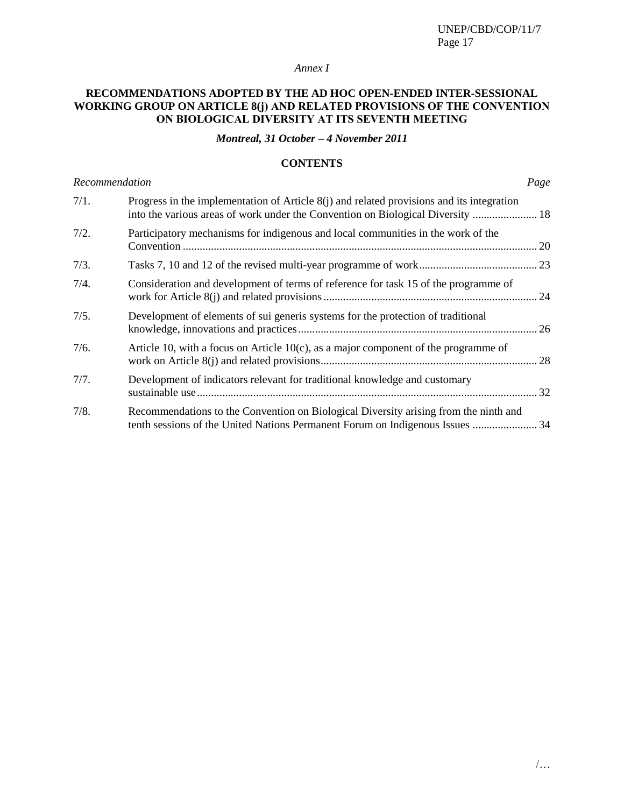# *Annex I*

# **RECOMMENDATIONS ADOPTED BY THE AD HOC OPEN-ENDED INTER-SESSIONAL WORKING GROUP ON ARTICLE 8(j) AND RELATED PROVISIONS OF THE CONVENTION ON BIOLOGICAL DIVERSITY AT ITS SEVENTH MEETING**

*Montreal, 31 October – 4 November 2011*

# **CONTENTS**

| Recommendation |                                                                                                                                                                                | Page |
|----------------|--------------------------------------------------------------------------------------------------------------------------------------------------------------------------------|------|
| 7/1.           | Progress in the implementation of Article $8(i)$ and related provisions and its integration<br>into the various areas of work under the Convention on Biological Diversity  18 |      |
| 7/2.           | Participatory mechanisms for indigenous and local communities in the work of the                                                                                               |      |
| 7/3.           |                                                                                                                                                                                |      |
| 7/4.           | Consideration and development of terms of reference for task 15 of the programme of                                                                                            |      |
| 7/5.           | Development of elements of sui generis systems for the protection of traditional                                                                                               |      |
| 7/6.           | Article 10, with a focus on Article $10(c)$ , as a major component of the programme of                                                                                         |      |
| 7/7.           | Development of indicators relevant for traditional knowledge and customary                                                                                                     |      |
| 7/8.           | Recommendations to the Convention on Biological Diversity arising from the ninth and<br>tenth sessions of the United Nations Permanent Forum on Indigenous Issues  34          |      |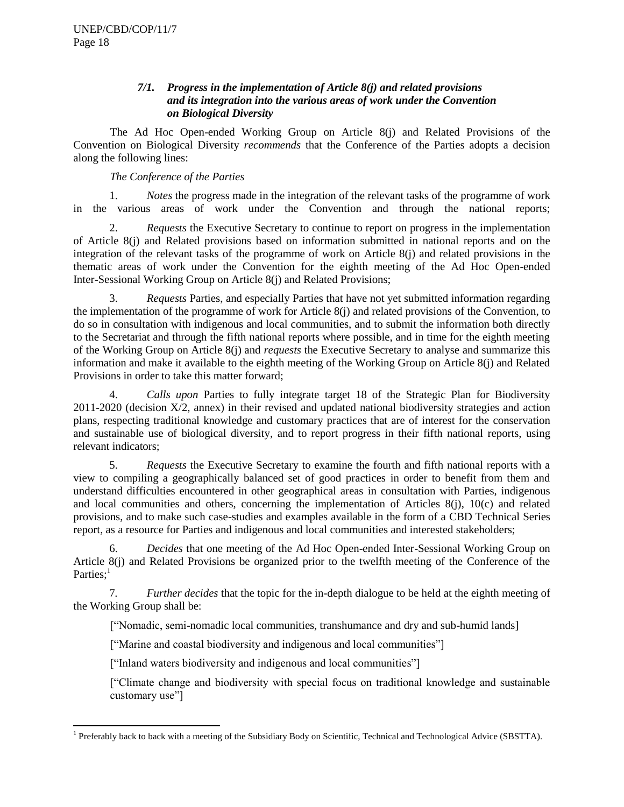# *7/1. Progress in the implementation of Article 8(j) and related provisions and its integration into the various areas of work under the Convention on Biological Diversity*

<span id="page-17-0"></span>The Ad Hoc Open-ended Working Group on Article 8(j) and Related Provisions of the Convention on Biological Diversity *recommends* that the Conference of the Parties adopts a decision along the following lines:

# *The Conference of the Parties*

1. *Notes* the progress made in the integration of the relevant tasks of the programme of work in the various areas of work under the Convention and through the national reports;

2. *Requests* the Executive Secretary to continue to report on progress in the implementation of Article 8(j) and Related provisions based on information submitted in national reports and on the integration of the relevant tasks of the programme of work on Article 8(j) and related provisions in the thematic areas of work under the Convention for the eighth meeting of the Ad Hoc Open-ended Inter-Sessional Working Group on Article 8(j) and Related Provisions;

3. *Requests* Parties, and especially Parties that have not yet submitted information regarding the implementation of the programme of work for Article 8(j) and related provisions of the Convention, to do so in consultation with indigenous and local communities, and to submit the information both directly to the Secretariat and through the fifth national reports where possible, and in time for the eighth meeting of the Working Group on Article 8(j) and *requests* the Executive Secretary to analyse and summarize this information and make it available to the eighth meeting of the Working Group on Article 8(j) and Related Provisions in order to take this matter forward;

4. *Calls upon* Parties to fully integrate target 18 of the Strategic Plan for Biodiversity 2011-2020 (decision X/2, annex) in their revised and updated national biodiversity strategies and action plans, respecting traditional knowledge and customary practices that are of interest for the conservation and sustainable use of biological diversity, and to report progress in their fifth national reports, using relevant indicators;

5. *Requests* the Executive Secretary to examine the fourth and fifth national reports with a view to compiling a geographically balanced set of good practices in order to benefit from them and understand difficulties encountered in other geographical areas in consultation with Parties, indigenous and local communities and others, concerning the implementation of Articles 8(j), 10(c) and related provisions, and to make such case-studies and examples available in the form of a CBD Technical Series report, as a resource for Parties and indigenous and local communities and interested stakeholders;

6. *Decides* that one meeting of the Ad Hoc Open-ended Inter-Sessional Working Group on Article 8(j) and Related Provisions be organized prior to the twelfth meeting of the Conference of the Parties;<sup>1</sup>

7*. Further decides* that the topic for the in-depth dialogue to be held at the eighth meeting of the Working Group shall be:

["Nomadic, semi-nomadic local communities, transhumance and dry and sub-humid lands]

["Marine and coastal biodiversity and indigenous and local communities"]

["Inland waters biodiversity and indigenous and local communities"]

["Climate change and biodiversity with special focus on traditional knowledge and sustainable customary use"]

<sup>&</sup>lt;sup>1</sup> Preferably back to back with a meeting of the Subsidiary Body on Scientific, Technical and Technological Advice (SBSTTA).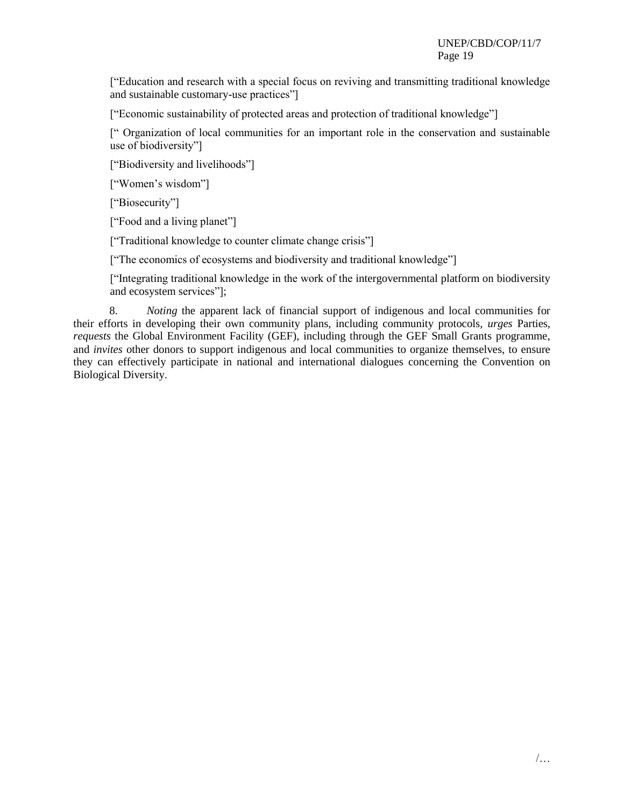["Education and research with a special focus on reviving and transmitting traditional knowledge and sustainable customary-use practices"]

["Economic sustainability of protected areas and protection of traditional knowledge"]

[" Organization of local communities for an important role in the conservation and sustainable use of biodiversity"]

["Biodiversity and livelihoods"]

["Women's wisdom"]

["Biosecurity"]

["Food and a living planet"]

["Traditional knowledge to counter climate change crisis"]

["The economics of ecosystems and biodiversity and traditional knowledge"]

["Integrating traditional knowledge in the work of the intergovernmental platform on biodiversity and ecosystem services"];

8. *Noting* the apparent lack of financial support of indigenous and local communities for their efforts in developing their own community plans, including community protocols, *urges* Parties, *requests* the Global Environment Facility (GEF), including through the GEF Small Grants programme, and *invites* other donors to support indigenous and local communities to organize themselves, to ensure they can effectively participate in national and international dialogues concerning the Convention on Biological Diversity.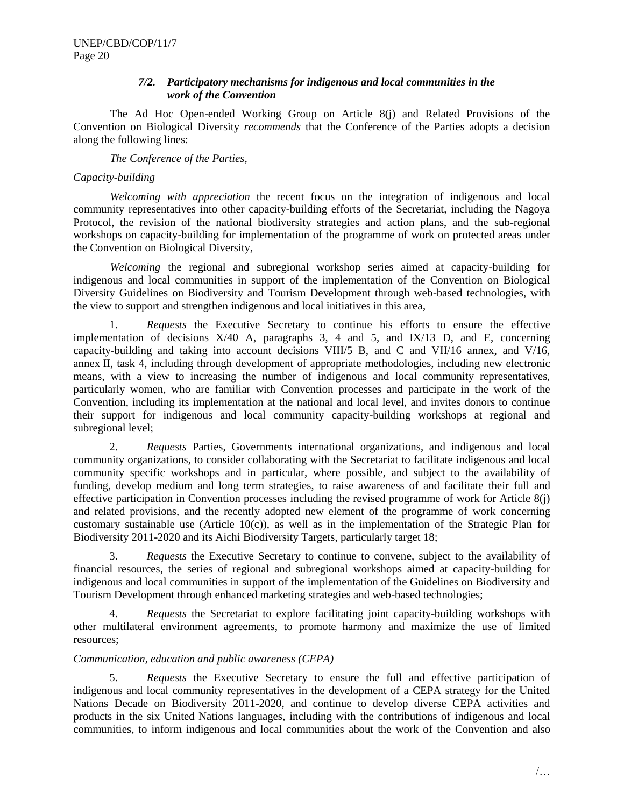# *7/2. Participatory mechanisms for indigenous and local communities in the work of the Convention*

<span id="page-19-0"></span>The Ad Hoc Open-ended Working Group on Article 8(j) and Related Provisions of the Convention on Biological Diversity *recommends* that the Conference of the Parties adopts a decision along the following lines:

#### *The Conference of the Parties,*

#### *Capacity-building*

*Welcoming with appreciation* the recent focus on the integration of indigenous and local community representatives into other capacity-building efforts of the Secretariat, including the Nagoya Protocol, the revision of the national biodiversity strategies and action plans, and the sub-regional workshops on capacity-building for implementation of the programme of work on protected areas under the Convention on Biological Diversity,

*Welcoming* the regional and subregional workshop series aimed at capacity-building for indigenous and local communities in support of the implementation of the Convention on Biological Diversity Guidelines on Biodiversity and Tourism Development through web-based technologies, with the view to support and strengthen indigenous and local initiatives in this area,

1. *Requests* the Executive Secretary to continue his efforts to ensure the effective implementation of decisions X/40 A, paragraphs 3, 4 and 5, and IX/13 D, and E, concerning capacity-building and taking into account decisions VIII/5 B, and C and VII/16 annex, and V/16, annex II, task 4, including through development of appropriate methodologies, including new electronic means, with a view to increasing the number of indigenous and local community representatives, particularly women, who are familiar with Convention processes and participate in the work of the Convention, including its implementation at the national and local level, and invites donors to continue their support for indigenous and local community capacity-building workshops at regional and subregional level;

2. *Requests* Parties, Governments international organizations, and indigenous and local community organizations, to consider collaborating with the Secretariat to facilitate indigenous and local community specific workshops and in particular, where possible, and subject to the availability of funding, develop medium and long term strategies, to raise awareness of and facilitate their full and effective participation in Convention processes including the revised programme of work for Article 8(j) and related provisions, and the recently adopted new element of the programme of work concerning customary sustainable use (Article  $10(c)$ ), as well as in the implementation of the Strategic Plan for Biodiversity 2011-2020 and its Aichi Biodiversity Targets, particularly target 18;

3. *Requests* the Executive Secretary to continue to convene, subject to the availability of financial resources, the series of regional and subregional workshops aimed at capacity-building for indigenous and local communities in support of the implementation of the Guidelines on Biodiversity and Tourism Development through enhanced marketing strategies and web-based technologies;

4. *Requests* the Secretariat to explore facilitating joint capacity-building workshops with other multilateral environment agreements, to promote harmony and maximize the use of limited resources;

# *Communication, education and public awareness (CEPA)*

5. *Requests* the Executive Secretary to ensure the full and effective participation of indigenous and local community representatives in the development of a CEPA strategy for the United Nations Decade on Biodiversity 2011-2020, and continue to develop diverse CEPA activities and products in the six United Nations languages, including with the contributions of indigenous and local communities, to inform indigenous and local communities about the work of the Convention and also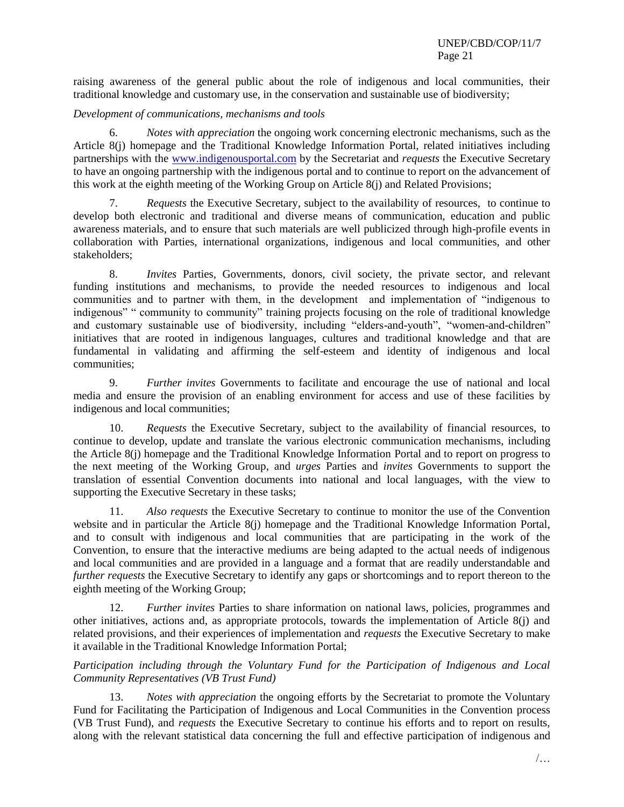raising awareness of the general public about the role of indigenous and local communities, their traditional knowledge and customary use, in the conservation and sustainable use of biodiversity;

#### *Development of communications, mechanisms and tools*

6. *Notes with appreciation* the ongoing work concerning electronic mechanisms, such as the Article 8(j) homepage and the Traditional Knowledge Information Portal, related initiatives including partnerships with the [www.indigenousportal.com](http://www.indigenousportal.com/) by the Secretariat and *requests* the Executive Secretary to have an ongoing partnership with the indigenous portal and to continue to report on the advancement of this work at the eighth meeting of the Working Group on Article 8(j) and Related Provisions;

7. *Requests* the Executive Secretary, subject to the availability of resources, to continue to develop both electronic and traditional and diverse means of communication, education and public awareness materials, and to ensure that such materials are well publicized through high-profile events in collaboration with Parties, international organizations, indigenous and local communities, and other stakeholders;

8. *Invites* Parties, Governments, donors, civil society, the private sector, and relevant funding institutions and mechanisms, to provide the needed resources to indigenous and local communities and to partner with them, in the development and implementation of "indigenous to indigenous" " community to community" training projects focusing on the role of traditional knowledge and customary sustainable use of biodiversity, including "elders-and-youth", "women-and-children" initiatives that are rooted in indigenous languages, cultures and traditional knowledge and that are fundamental in validating and affirming the self-esteem and identity of indigenous and local communities;

9. *Further invites* Governments to facilitate and encourage the use of national and local media and ensure the provision of an enabling environment for access and use of these facilities by indigenous and local communities;

10. *Requests* the Executive Secretary, subject to the availability of financial resources, to continue to develop, update and translate the various electronic communication mechanisms, including the Article 8(j) homepage and the Traditional Knowledge Information Portal and to report on progress to the next meeting of the Working Group, and *urges* Parties and *invites* Governments to support the translation of essential Convention documents into national and local languages, with the view to supporting the Executive Secretary in these tasks;

11. *Also requests* the Executive Secretary to continue to monitor the use of the Convention website and in particular the Article 8(j) homepage and the Traditional Knowledge Information Portal, and to consult with indigenous and local communities that are participating in the work of the Convention, to ensure that the interactive mediums are being adapted to the actual needs of indigenous and local communities and are provided in a language and a format that are readily understandable and *further requests* the Executive Secretary to identify any gaps or shortcomings and to report thereon to the eighth meeting of the Working Group;

12. *Further invites* Parties to share information on national laws, policies, programmes and other initiatives, actions and, as appropriate protocols, towards the implementation of Article 8(j) and related provisions, and their experiences of implementation and *requests* the Executive Secretary to make it available in the Traditional Knowledge Information Portal;

*Participation including through the Voluntary Fund for the Participation of Indigenous and Local Community Representatives (VB Trust Fund)*

13. *Notes with appreciation* the ongoing efforts by the Secretariat to promote the Voluntary Fund for Facilitating the Participation of Indigenous and Local Communities in the Convention process (VB Trust Fund), and *requests* the Executive Secretary to continue his efforts and to report on results, along with the relevant statistical data concerning the full and effective participation of indigenous and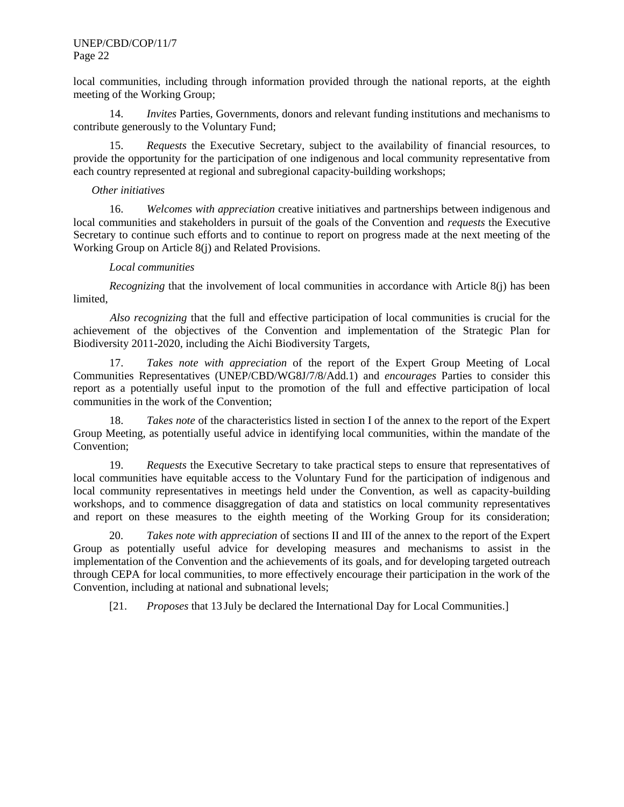local communities, including through information provided through the national reports, at the eighth meeting of the Working Group;

14. *Invites* Parties, Governments, donors and relevant funding institutions and mechanisms to contribute generously to the Voluntary Fund;

15. *Requests* the Executive Secretary, subject to the availability of financial resources, to provide the opportunity for the participation of one indigenous and local community representative from each country represented at regional and subregional capacity-building workshops;

#### *Other initiatives*

16. *Welcomes with appreciation* creative initiatives and partnerships between indigenous and local communities and stakeholders in pursuit of the goals of the Convention and *requests* the Executive Secretary to continue such efforts and to continue to report on progress made at the next meeting of the Working Group on Article 8(j) and Related Provisions.

#### *Local communities*

*Recognizing* that the involvement of local communities in accordance with Article 8(j) has been limited,

*Also recognizing* that the full and effective participation of local communities is crucial for the achievement of the objectives of the Convention and implementation of the Strategic Plan for Biodiversity 2011-2020, including the Aichi Biodiversity Targets,

17. *Takes note with appreciation* of the report of the Expert Group Meeting of Local Communities Representatives (UNEP/CBD/WG8J/7/8/Add.1) and *encourages* Parties to consider this report as a potentially useful input to the promotion of the full and effective participation of local communities in the work of the Convention;

18. *Takes note* of the characteristics listed in section I of the annex to the report of the Expert Group Meeting, as potentially useful advice in identifying local communities, within the mandate of the Convention;

19. *Requests* the Executive Secretary to take practical steps to ensure that representatives of local communities have equitable access to the Voluntary Fund for the participation of indigenous and local community representatives in meetings held under the Convention, as well as capacity-building workshops, and to commence disaggregation of data and statistics on local community representatives and report on these measures to the eighth meeting of the Working Group for its consideration;

20. *Takes note with appreciation* of sections II and III of the annex to the report of the Expert Group as potentially useful advice for developing measures and mechanisms to assist in the implementation of the Convention and the achievements of its goals, and for developing targeted outreach through CEPA for local communities, to more effectively encourage their participation in the work of the Convention, including at national and subnational levels;

[21. *Proposes* that 13 July be declared the International Day for Local Communities.]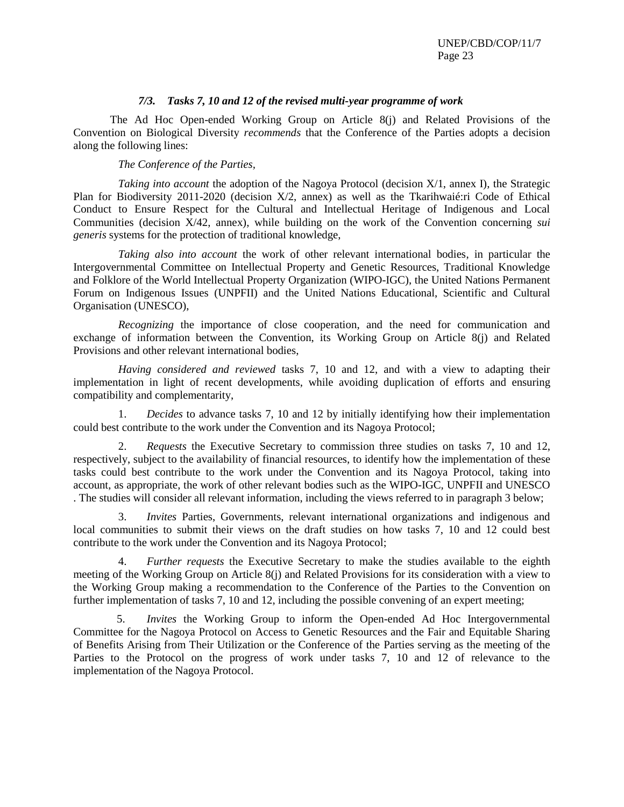#### *7/3. Tasks 7, 10 and 12 of the revised multi-year programme of work*

<span id="page-22-0"></span>The Ad Hoc Open-ended Working Group on Article 8(j) and Related Provisions of the Convention on Biological Diversity *recommends* that the Conference of the Parties adopts a decision along the following lines:

*The Conference of the Parties,*

*Taking into account* the adoption of the Nagoya Protocol (decision X/1, annex I), the Strategic Plan for Biodiversity 2011-2020 (decision X/2, annex) as well as the Tkarihwaié:ri Code of Ethical Conduct to Ensure Respect for the Cultural and Intellectual Heritage of Indigenous and Local Communities (decision X/42, annex), while building on the work of the Convention concerning *sui generis* systems for the protection of traditional knowledge,

*Taking also into account* the work of other relevant international bodies, in particular the Intergovernmental Committee on Intellectual Property and Genetic Resources, Traditional Knowledge and Folklore of the World Intellectual Property Organization (WIPO-IGC), the United Nations Permanent Forum on Indigenous Issues (UNPFII) and the United Nations Educational, Scientific and Cultural Organisation (UNESCO),

*Recognizing* the importance of close cooperation, and the need for communication and exchange of information between the Convention, its Working Group on Article 8(j) and Related Provisions and other relevant international bodies,

*Having considered and reviewed* tasks 7, 10 and 12, and with a view to adapting their implementation in light of recent developments, while avoiding duplication of efforts and ensuring compatibility and complementarity,

1. *Decides* to advance tasks 7, 10 and 12 by initially identifying how their implementation could best contribute to the work under the Convention and its Nagoya Protocol;

2. *Requests* the Executive Secretary to commission three studies on tasks 7, 10 and 12, respectively, subject to the availability of financial resources, to identify how the implementation of these tasks could best contribute to the work under the Convention and its Nagoya Protocol, taking into account, as appropriate, the work of other relevant bodies such as the WIPO-IGC, UNPFII and UNESCO . The studies will consider all relevant information, including the views referred to in paragraph 3 below;

3. *Invites* Parties, Governments, relevant international organizations and indigenous and local communities to submit their views on the draft studies on how tasks 7, 10 and 12 could best contribute to the work under the Convention and its Nagoya Protocol;

4. *Further requests* the Executive Secretary to make the studies available to the eighth meeting of the Working Group on Article 8(j) and Related Provisions for its consideration with a view to the Working Group making a recommendation to the Conference of the Parties to the Convention on further implementation of tasks 7, 10 and 12, including the possible convening of an expert meeting;

5. *Invites* the Working Group to inform the Open-ended Ad Hoc Intergovernmental Committee for the Nagoya Protocol on Access to Genetic Resources and the Fair and Equitable Sharing of Benefits Arising from Their Utilization or the Conference of the Parties serving as the meeting of the Parties to the Protocol on the progress of work under tasks 7, 10 and 12 of relevance to the implementation of the Nagoya Protocol.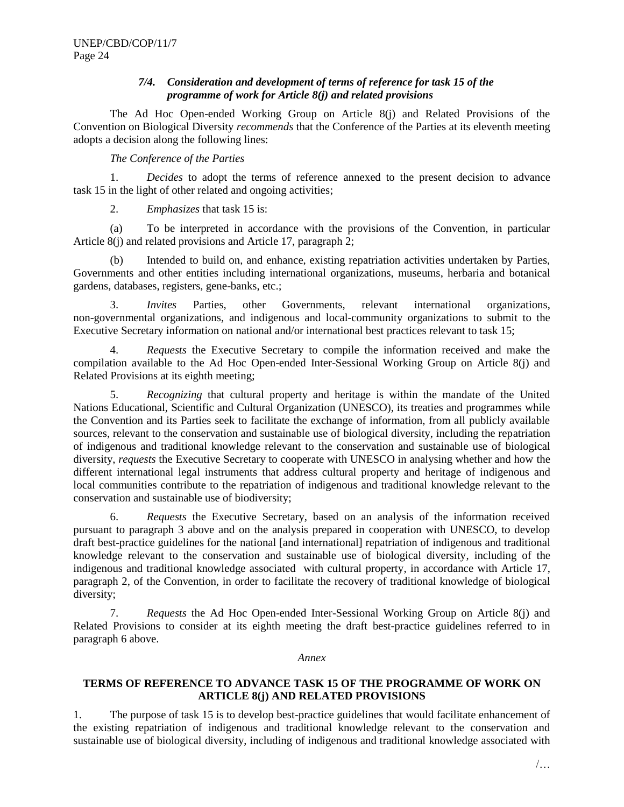# *7/4. Consideration and development of terms of reference for task 15 of the programme of work for Article 8(j) and related provisions*

<span id="page-23-0"></span>The Ad Hoc Open-ended Working Group on Article 8(j) and Related Provisions of the Convention on Biological Diversity *recommends* that the Conference of the Parties at its eleventh meeting adopts a decision along the following lines:

## *The Conference of the Parties*

1. *Decides* to adopt the terms of reference annexed to the present decision to advance task 15 in the light of other related and ongoing activities;

2. *Emphasizes* that task 15 is:

(a) To be interpreted in accordance with the provisions of the Convention, in particular Article 8(j) and related provisions and Article 17, paragraph 2;

(b) Intended to build on, and enhance, existing repatriation activities undertaken by Parties, Governments and other entities including international organizations, museums, herbaria and botanical gardens, databases, registers, gene-banks, etc.;

3. *Invites* Parties, other Governments, relevant international organizations, non-governmental organizations, and indigenous and local-community organizations to submit to the Executive Secretary information on national and/or international best practices relevant to task 15;

4. *Requests* the Executive Secretary to compile the information received and make the compilation available to the Ad Hoc Open-ended Inter-Sessional Working Group on Article 8(j) and Related Provisions at its eighth meeting;

5. *Recognizing* that cultural property and heritage is within the mandate of the United Nations Educational, Scientific and Cultural Organization (UNESCO), its treaties and programmes while the Convention and its Parties seek to facilitate the exchange of information, from all publicly available sources, relevant to the conservation and sustainable use of biological diversity, including the repatriation of indigenous and traditional knowledge relevant to the conservation and sustainable use of biological diversity, *requests* the Executive Secretary to cooperate with UNESCO in analysing whether and how the different international legal instruments that address cultural property and heritage of indigenous and local communities contribute to the repatriation of indigenous and traditional knowledge relevant to the conservation and sustainable use of biodiversity;

6. *Requests* the Executive Secretary, based on an analysis of the information received pursuant to paragraph 3 above and on the analysis prepared in cooperation with UNESCO, to develop draft best-practice guidelines for the national [and international] repatriation of indigenous and traditional knowledge relevant to the conservation and sustainable use of biological diversity, including of the indigenous and traditional knowledge associated with cultural property, in accordance with Article 17, paragraph 2, of the Convention, in order to facilitate the recovery of traditional knowledge of biological diversity;

7. *Requests* the Ad Hoc Open-ended Inter-Sessional Working Group on Article 8(j) and Related Provisions to consider at its eighth meeting the draft best-practice guidelines referred to in paragraph 6 above.

#### *Annex*

# **TERMS OF REFERENCE TO ADVANCE TASK 15 OF THE PROGRAMME OF WORK ON ARTICLE 8(j) AND RELATED PROVISIONS**

1. The purpose of task 15 is to develop best-practice guidelines that would facilitate enhancement of the existing repatriation of indigenous and traditional knowledge relevant to the conservation and sustainable use of biological diversity, including of indigenous and traditional knowledge associated with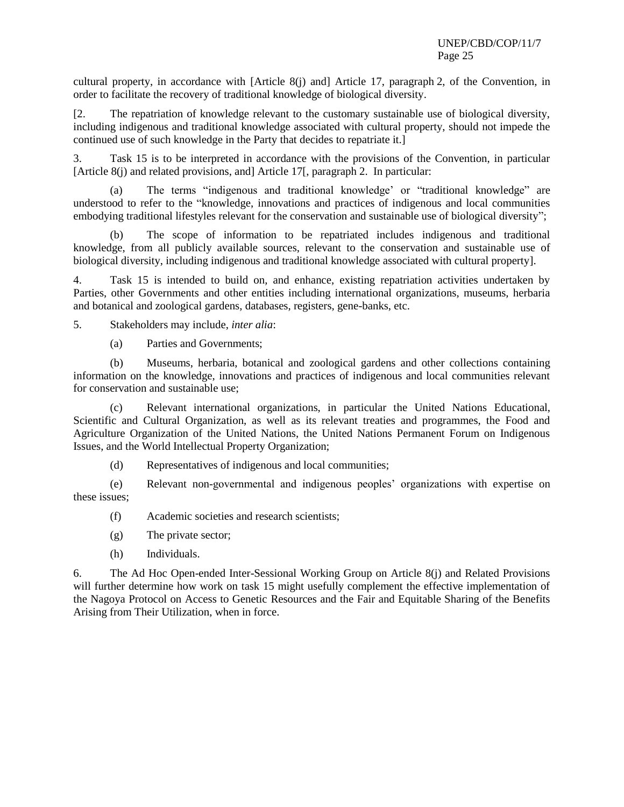cultural property, in accordance with [Article 8(j) and] Article 17, paragraph 2, of the Convention, in order to facilitate the recovery of traditional knowledge of biological diversity.

[2. The repatriation of knowledge relevant to the customary sustainable use of biological diversity, including indigenous and traditional knowledge associated with cultural property, should not impede the continued use of such knowledge in the Party that decides to repatriate it.]

3. Task 15 is to be interpreted in accordance with the provisions of the Convention, in particular [Article 8(j) and related provisions, and] Article 17[, paragraph 2. In particular:

(a) The terms "indigenous and traditional knowledge' or "traditional knowledge" are understood to refer to the "knowledge, innovations and practices of indigenous and local communities embodying traditional lifestyles relevant for the conservation and sustainable use of biological diversity";

(b) The scope of information to be repatriated includes indigenous and traditional knowledge, from all publicly available sources, relevant to the conservation and sustainable use of biological diversity, including indigenous and traditional knowledge associated with cultural property].

4. Task 15 is intended to build on, and enhance, existing repatriation activities undertaken by Parties, other Governments and other entities including international organizations, museums, herbaria and botanical and zoological gardens, databases, registers, gene-banks, etc.

5. Stakeholders may include, *inter alia*:

(a) Parties and Governments;

(b) Museums, herbaria, botanical and zoological gardens and other collections containing information on the knowledge, innovations and practices of indigenous and local communities relevant for conservation and sustainable use;

(c) Relevant international organizations, in particular the United Nations Educational, Scientific and Cultural Organization, as well as its relevant treaties and programmes, the Food and Agriculture Organization of the United Nations, the United Nations Permanent Forum on Indigenous Issues, and the World Intellectual Property Organization;

(d) Representatives of indigenous and local communities;

(e) Relevant non-governmental and indigenous peoples' organizations with expertise on these issues;

(f) Academic societies and research scientists;

- (g) The private sector;
- (h) Individuals.

6. The Ad Hoc Open-ended Inter-Sessional Working Group on Article 8(j) and Related Provisions will further determine how work on task 15 might usefully complement the effective implementation of the Nagoya Protocol on Access to Genetic Resources and the Fair and Equitable Sharing of the Benefits Arising from Their Utilization, when in force.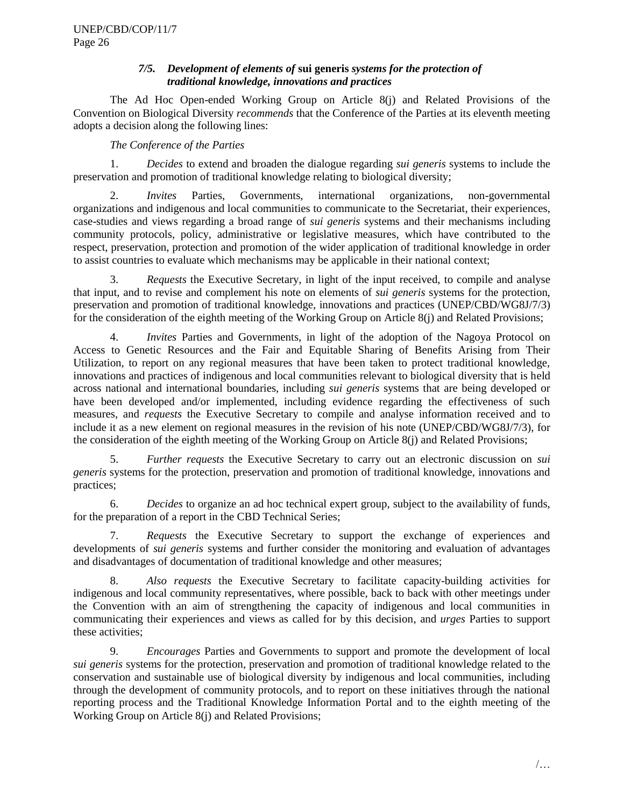# *7/5. Development of elements of* **sui generis** *systems for the protection of traditional knowledge, innovations and practices*

<span id="page-25-0"></span>The Ad Hoc Open-ended Working Group on Article 8(j) and Related Provisions of the Convention on Biological Diversity *recommends* that the Conference of the Parties at its eleventh meeting adopts a decision along the following lines:

*The Conference of the Parties*

1. *Decides* to extend and broaden the dialogue regarding *sui generis* systems to include the preservation and promotion of traditional knowledge relating to biological diversity;

2. *Invites* Parties, Governments, international organizations, non-governmental organizations and indigenous and local communities to communicate to the Secretariat, their experiences, case-studies and views regarding a broad range of *sui generis* systems and their mechanisms including community protocols, policy, administrative or legislative measures, which have contributed to the respect, preservation, protection and promotion of the wider application of traditional knowledge in order to assist countries to evaluate which mechanisms may be applicable in their national context;

3. *Requests* the Executive Secretary, in light of the input received, to compile and analyse that input, and to revise and complement his note on elements of *sui generis* systems for the protection, preservation and promotion of traditional knowledge, innovations and practices (UNEP/CBD/WG8J/7/3) for the consideration of the eighth meeting of the Working Group on Article 8(j) and Related Provisions;

4. *Invites* Parties and Governments, in light of the adoption of the Nagoya Protocol on Access to Genetic Resources and the Fair and Equitable Sharing of Benefits Arising from Their Utilization, to report on any regional measures that have been taken to protect traditional knowledge, innovations and practices of indigenous and local communities relevant to biological diversity that is held across national and international boundaries, including *sui generis* systems that are being developed or have been developed and/or implemented, including evidence regarding the effectiveness of such measures, and *requests* the Executive Secretary to compile and analyse information received and to include it as a new element on regional measures in the revision of his note (UNEP/CBD/WG8J/7/3), for the consideration of the eighth meeting of the Working Group on Article 8(j) and Related Provisions;

5. *Further requests* the Executive Secretary to carry out an electronic discussion on *sui generis* systems for the protection, preservation and promotion of traditional knowledge, innovations and practices;

6. *Decides* to organize an ad hoc technical expert group, subject to the availability of funds, for the preparation of a report in the CBD Technical Series;

7. *Requests* the Executive Secretary to support the exchange of experiences and developments of *sui generis* systems and further consider the monitoring and evaluation of advantages and disadvantages of documentation of traditional knowledge and other measures;

8. *Also requests* the Executive Secretary to facilitate capacity-building activities for indigenous and local community representatives, where possible, back to back with other meetings under the Convention with an aim of strengthening the capacity of indigenous and local communities in communicating their experiences and views as called for by this decision, and *urges* Parties to support these activities;

9. *Encourages* Parties and Governments to support and promote the development of local *sui generis* systems for the protection, preservation and promotion of traditional knowledge related to the conservation and sustainable use of biological diversity by indigenous and local communities, including through the development of community protocols, and to report on these initiatives through the national reporting process and the Traditional Knowledge Information Portal and to the eighth meeting of the Working Group on Article 8(j) and Related Provisions;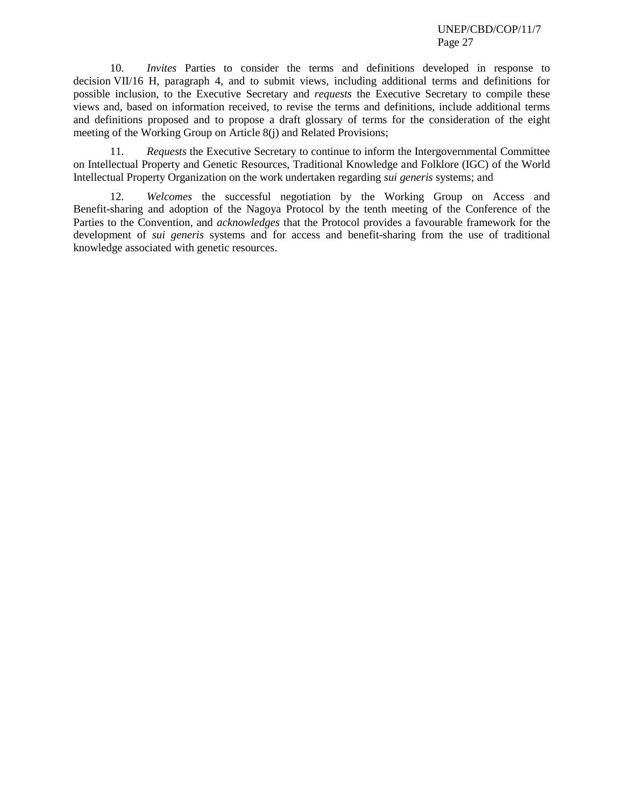10. *Invites* Parties to consider the terms and definitions developed in response to decision VII/16 H, paragraph 4, and to submit views, including additional terms and definitions for possible inclusion, to the Executive Secretary and *requests* the Executive Secretary to compile these views and, based on information received, to revise the terms and definitions, include additional terms and definitions proposed and to propose a draft glossary of terms for the consideration of the eight meeting of the Working Group on Article 8(j) and Related Provisions;

11. *Requests* the Executive Secretary to continue to inform the Intergovernmental Committee on Intellectual Property and Genetic Resources, Traditional Knowledge and Folklore (IGC) of the World Intellectual Property Organization on the work undertaken regarding *sui generis* systems; and

12. *Welcomes* the successful negotiation by the Working Group on Access and Benefit-sharing and adoption of the Nagoya Protocol by the tenth meeting of the Conference of the Parties to the Convention, and *acknowledges* that the Protocol provides a favourable framework for the development of *sui generis* systems and for access and benefit-sharing from the use of traditional knowledge associated with genetic resources.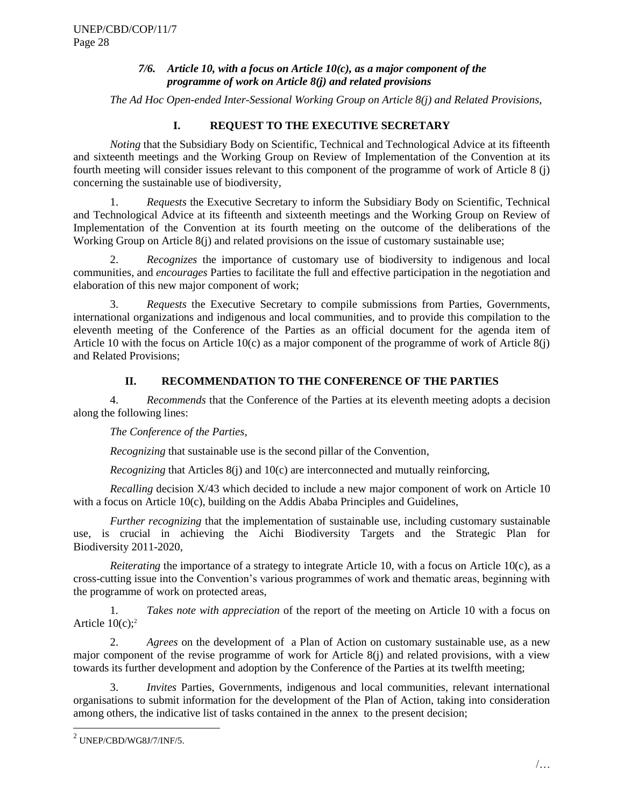# *7/6. Article 10, with a focus on Article 10(c), as a major component of the programme of work on Article 8(j) and related provisions*

<span id="page-27-0"></span>*The Ad Hoc Open-ended Inter-Sessional Working Group on Article 8(j) and Related Provisions*,

# **I. REQUEST TO THE EXECUTIVE SECRETARY**

*Noting* that the Subsidiary Body on Scientific, Technical and Technological Advice at its fifteenth and sixteenth meetings and the Working Group on Review of Implementation of the Convention at its fourth meeting will consider issues relevant to this component of the programme of work of Article 8 (j) concerning the sustainable use of biodiversity,

1. *Requests* the Executive Secretary to inform the Subsidiary Body on Scientific, Technical and Technological Advice at its fifteenth and sixteenth meetings and the Working Group on Review of Implementation of the Convention at its fourth meeting on the outcome of the deliberations of the Working Group on Article 8(j) and related provisions on the issue of customary sustainable use;

2. *Recognizes* the importance of customary use of biodiversity to indigenous and local communities, and *encourages* Parties to facilitate the full and effective participation in the negotiation and elaboration of this new major component of work;

3. *Requests* the Executive Secretary to compile submissions from Parties, Governments, international organizations and indigenous and local communities, and to provide this compilation to the eleventh meeting of the Conference of the Parties as an official document for the agenda item of Article 10 with the focus on Article 10(c) as a major component of the programme of work of Article 8(j) and Related Provisions;

# **II. RECOMMENDATION TO THE CONFERENCE OF THE PARTIES**

4. *Recommends* that the Conference of the Parties at its eleventh meeting adopts a decision along the following lines:

*The Conference of the Parties,*

*Recognizing* that sustainable use is the second pillar of the Convention,

*Recognizing* that Articles 8(j) and 10(c) are interconnected and mutually reinforcing,

*Recalling* decision X/43 which decided to include a new major component of work on Article 10 with a focus on Article 10(c), building on the Addis Ababa Principles and Guidelines,

*Further recognizing* that the implementation of sustainable use, including customary sustainable use, is crucial in achieving the Aichi Biodiversity Targets and the Strategic Plan for Biodiversity 2011-2020,

*Reiterating* the importance of a strategy to integrate Article 10, with a focus on Article 10(c), as a cross-cutting issue into the Convention's various programmes of work and thematic areas, beginning with the programme of work on protected areas,

1*. Takes note with appreciation* of the report of the meeting on Article 10 with a focus on Article  $10(c)$ ;<sup>2</sup>

2. *Agrees* on the development of a Plan of Action on customary sustainable use, as a new major component of the revise programme of work for Article 8(j) and related provisions, with a view towards its further development and adoption by the Conference of the Parties at its twelfth meeting;

3. *Invites* Parties, Governments, indigenous and local communities, relevant international organisations to submit information for the development of the Plan of Action, taking into consideration among others, the indicative list of tasks contained in the annex to the present decision;

 $\overline{a}$ 

 $^2$  UNEP/CBD/WG8J/7/INF/5.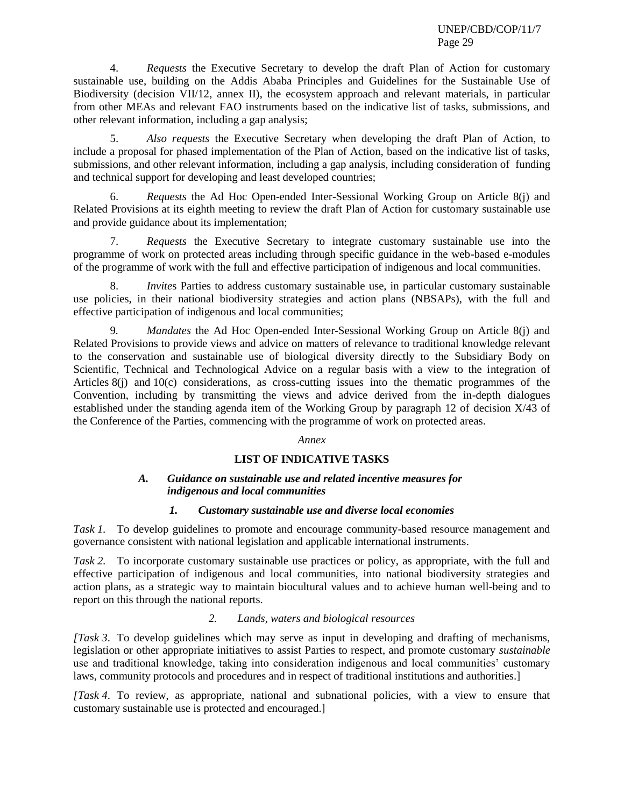4. *Requests* the Executive Secretary to develop the draft Plan of Action for customary sustainable use, building on the Addis Ababa Principles and Guidelines for the Sustainable Use of Biodiversity (decision VII/12, annex II), the ecosystem approach and relevant materials, in particular from other MEAs and relevant FAO instruments based on the indicative list of tasks, submissions, and other relevant information, including a gap analysis;

5. *Also requests* the Executive Secretary when developing the draft Plan of Action, to include a proposal for phased implementation of the Plan of Action, based on the indicative list of tasks, submissions, and other relevant information, including a gap analysis, including consideration of funding and technical support for developing and least developed countries;

6. *Requests* the Ad Hoc Open-ended Inter-Sessional Working Group on Article 8(j) and Related Provisions at its eighth meeting to review the draft Plan of Action for customary sustainable use and provide guidance about its implementation;

7. *Requests* the Executive Secretary to integrate customary sustainable use into the programme of work on protected areas including through specific guidance in the web-based e-modules of the programme of work with the full and effective participation of indigenous and local communities.

8. *Invite*s Parties to address customary sustainable use, in particular customary sustainable use policies, in their national biodiversity strategies and action plans (NBSAPs), with the full and effective participation of indigenous and local communities;

9*. Mandates* the Ad Hoc Open-ended Inter-Sessional Working Group on Article 8(j) and Related Provisions to provide views and advice on matters of relevance to traditional knowledge relevant to the conservation and sustainable use of biological diversity directly to the Subsidiary Body on Scientific, Technical and Technological Advice on a regular basis with a view to the integration of Articles 8(j) and 10(c) considerations, as cross-cutting issues into the thematic programmes of the Convention, including by transmitting the views and advice derived from the in-depth dialogues established under the standing agenda item of the Working Group by paragraph 12 of decision X/43 of the Conference of the Parties, commencing with the programme of work on protected areas.

# *Annex*

# **LIST OF INDICATIVE TASKS**

# *A. Guidance on sustainable use and related incentive measures for indigenous and local communities*

# *1. Customary sustainable use and diverse local economies*

*Task 1.* To develop guidelines to promote and encourage community-based resource management and governance consistent with national legislation and applicable international instruments.

*Task 2.* To incorporate customary sustainable use practices or policy, as appropriate, with the full and effective participation of indigenous and local communities, into national biodiversity strategies and action plans, as a strategic way to maintain biocultural values and to achieve human well-being and to report on this through the national reports.

# *2. Lands, waters and biological resources*

*[Task 3*. To develop guidelines which may serve as input in developing and drafting of mechanisms, legislation or other appropriate initiatives to assist Parties to respect, and promote customary *sustainable* use and traditional knowledge, taking into consideration indigenous and local communities' customary laws, community protocols and procedures and in respect of traditional institutions and authorities.]

*[Task 4*. To review, as appropriate, national and subnational policies, with a view to ensure that customary sustainable use is protected and encouraged.]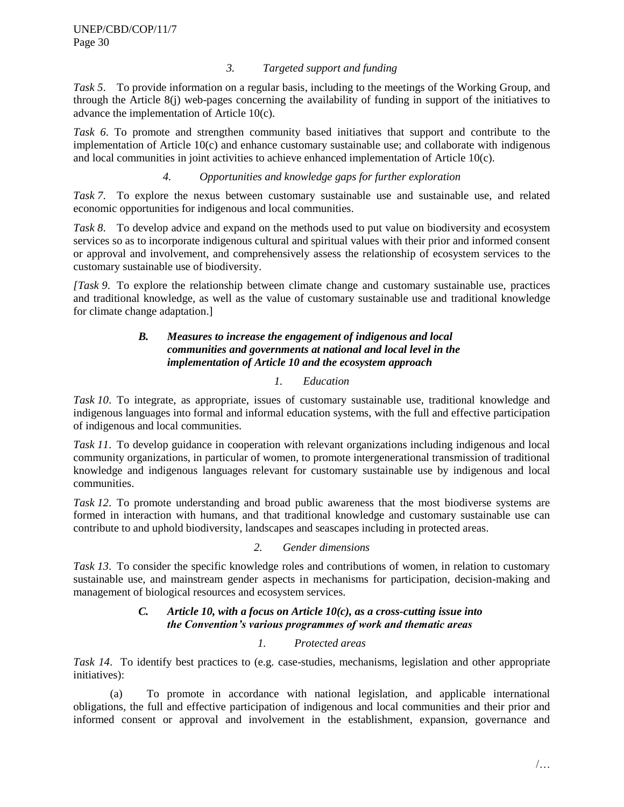# *3. Targeted support and funding*

*Task 5*. To provide information on a regular basis, including to the meetings of the Working Group, and through the Article 8(j) web-pages concerning the availability of funding in support of the initiatives to advance the implementation of Article 10(c).

*Task 6*. To promote and strengthen community based initiatives that support and contribute to the implementation of Article 10(c) and enhance customary sustainable use; and collaborate with indigenous and local communities in joint activities to achieve enhanced implementation of Article 10(c).

# *4. Opportunities and knowledge gaps for further exploration*

*Task 7*. To explore the nexus between customary sustainable use and sustainable use, and related economic opportunities for indigenous and local communities.

*Task 8*. To develop advice and expand on the methods used to put value on biodiversity and ecosystem services so as to incorporate indigenous cultural and spiritual values with their prior and informed consent or approval and involvement, and comprehensively assess the relationship of ecosystem services to the customary sustainable use of biodiversity.

*[Task 9*. To explore the relationship between climate change and customary sustainable use, practices and traditional knowledge, as well as the value of customary sustainable use and traditional knowledge for climate change adaptation.]

# *B. Measures to increase the engagement of indigenous and local communities and governments at national and local level in the implementation of Article 10 and the ecosystem approach*

# *1. Education*

*Task 10*. To integrate, as appropriate, issues of customary sustainable use, traditional knowledge and indigenous languages into formal and informal education systems, with the full and effective participation of indigenous and local communities.

*Task 11*. To develop guidance in cooperation with relevant organizations including indigenous and local community organizations, in particular of women, to promote intergenerational transmission of traditional knowledge and indigenous languages relevant for customary sustainable use by indigenous and local communities.

*Task 12*. To promote understanding and broad public awareness that the most biodiverse systems are formed in interaction with humans, and that traditional knowledge and customary sustainable use can contribute to and uphold biodiversity, landscapes and seascapes including in protected areas.

# *2. Gender dimensions*

*Task 13*. To consider the specific knowledge roles and contributions of women, in relation to customary sustainable use, and mainstream gender aspects in mechanisms for participation, decision-making and management of biological resources and ecosystem services.

# *C. Article 10, with a focus on Article 10(c), as a cross-cutting issue into the Convention's various programmes of work and thematic areas*

# *1. Protected areas*

*Task 14*. To identify best practices to (e.g. case-studies, mechanisms, legislation and other appropriate initiatives):

(a) To promote in accordance with national legislation, and applicable international obligations, the full and effective participation of indigenous and local communities and their prior and informed consent or approval and involvement in the establishment, expansion, governance and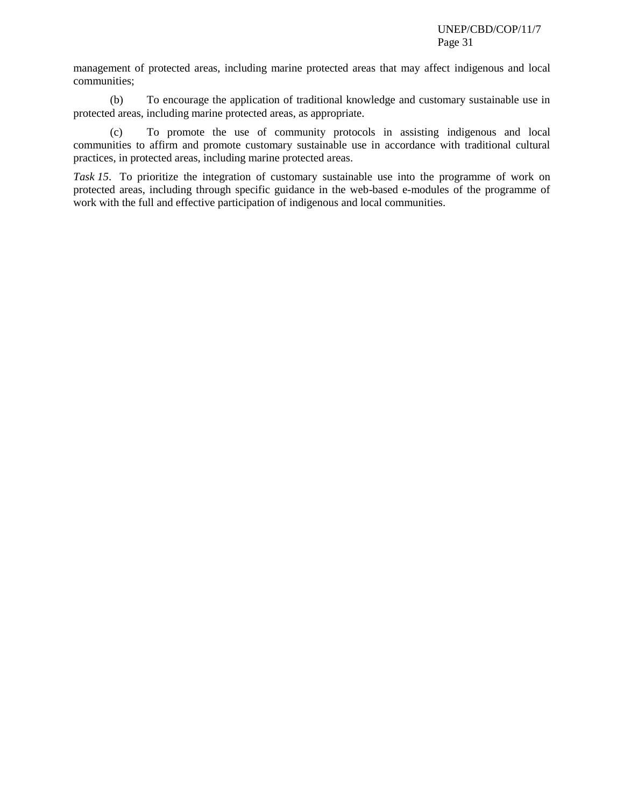management of protected areas, including marine protected areas that may affect indigenous and local communities;

(b) To encourage the application of traditional knowledge and customary sustainable use in protected areas, including marine protected areas, as appropriate.

(c) To promote the use of community protocols in assisting indigenous and local communities to affirm and promote customary sustainable use in accordance with traditional cultural practices, in protected areas, including marine protected areas.

*Task 15*. To prioritize the integration of customary sustainable use into the programme of work on protected areas, including through specific guidance in the web-based e-modules of the programme of work with the full and effective participation of indigenous and local communities.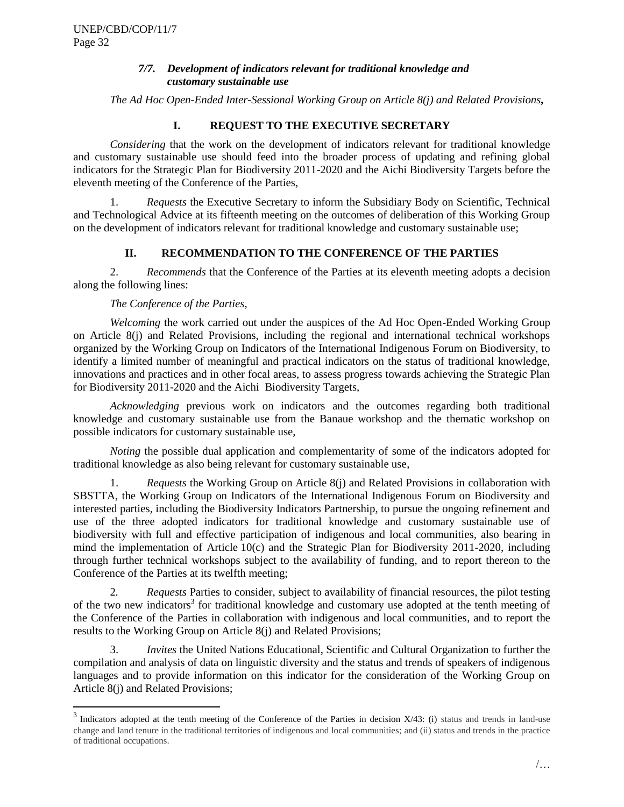l

# *7/7. Development of indicators relevant for traditional knowledge and customary sustainable use*

<span id="page-31-0"></span>*The Ad Hoc Open-Ended Inter-Sessional Working Group on Article 8(j) and Related Provisions,*

# **I. REQUEST TO THE EXECUTIVE SECRETARY**

*Considering* that the work on the development of indicators relevant for traditional knowledge and customary sustainable use should feed into the broader process of updating and refining global indicators for the Strategic Plan for Biodiversity 2011-2020 and the Aichi Biodiversity Targets before the eleventh meeting of the Conference of the Parties,

1. *Requests* the Executive Secretary to inform the Subsidiary Body on Scientific, Technical and Technological Advice at its fifteenth meeting on the outcomes of deliberation of this Working Group on the development of indicators relevant for traditional knowledge and customary sustainable use;

# **II. RECOMMENDATION TO THE CONFERENCE OF THE PARTIES**

2. *Recommends* that the Conference of the Parties at its eleventh meeting adopts a decision along the following lines:

# *The Conference of the Parties,*

*Welcoming* the work carried out under the auspices of the Ad Hoc Open-Ended Working Group on Article 8(j) and Related Provisions, including the regional and international technical workshops organized by the Working Group on Indicators of the International Indigenous Forum on Biodiversity, to identify a limited number of meaningful and practical indicators on the status of traditional knowledge, innovations and practices and in other focal areas, to assess progress towards achieving the Strategic Plan for Biodiversity 2011-2020 and the Aichi Biodiversity Targets,

*Acknowledging* previous work on indicators and the outcomes regarding both traditional knowledge and customary sustainable use from the Banaue workshop and the thematic workshop on possible indicators for customary sustainable use,

*Noting* the possible dual application and complementarity of some of the indicators adopted for traditional knowledge as also being relevant for customary sustainable use,

1. *Requests* the Working Group on Article 8(j) and Related Provisions in collaboration with SBSTTA, the Working Group on Indicators of the International Indigenous Forum on Biodiversity and interested parties, including the Biodiversity Indicators Partnership, to pursue the ongoing refinement and use of the three adopted indicators for traditional knowledge and customary sustainable use of biodiversity with full and effective participation of indigenous and local communities, also bearing in mind the implementation of Article 10(c) and the Strategic Plan for Biodiversity 2011-2020, including through further technical workshops subject to the availability of funding, and to report thereon to the Conference of the Parties at its twelfth meeting;

2*. Requests* Parties to consider, subject to availability of financial resources, the pilot testing of the two new indicators<sup>3</sup> for traditional knowledge and customary use adopted at the tenth meeting of the Conference of the Parties in collaboration with indigenous and local communities, and to report the results to the Working Group on Article 8(j) and Related Provisions;

3. *Invites* the United Nations Educational, Scientific and Cultural Organization to further the compilation and analysis of data on linguistic diversity and the status and trends of speakers of indigenous languages and to provide information on this indicator for the consideration of the Working Group on Article 8(j) and Related Provisions;

 $3$  Indicators adopted at the tenth meeting of the Conference of the Parties in decision  $X/43$ : (i) status and trends in land-use change and land tenure in the traditional territories of indigenous and local communities; and (ii) status and trends in the practice of traditional occupations.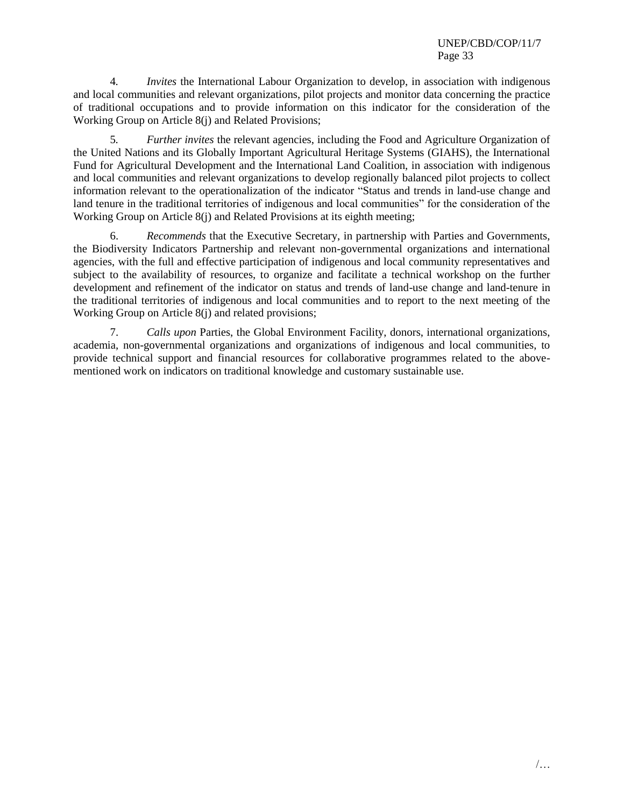4*. Invites* the International Labour Organization to develop, in association with indigenous and local communities and relevant organizations, pilot projects and monitor data concerning the practice of traditional occupations and to provide information on this indicator for the consideration of the Working Group on Article 8(j) and Related Provisions;

5*. Further invites* the relevant agencies, including the Food and Agriculture Organization of the United Nations and its Globally Important Agricultural Heritage Systems (GIAHS), the International Fund for Agricultural Development and the International Land Coalition, in association with indigenous and local communities and relevant organizations to develop regionally balanced pilot projects to collect information relevant to the operationalization of the indicator "Status and trends in land-use change and land tenure in the traditional territories of indigenous and local communities" for the consideration of the Working Group on Article 8(j) and Related Provisions at its eighth meeting;

6. *Recommends* that the Executive Secretary, in partnership with Parties and Governments, the Biodiversity Indicators Partnership and relevant non-governmental organizations and international agencies, with the full and effective participation of indigenous and local community representatives and subject to the availability of resources, to organize and facilitate a technical workshop on the further development and refinement of the indicator on status and trends of land-use change and land-tenure in the traditional territories of indigenous and local communities and to report to the next meeting of the Working Group on Article 8(j) and related provisions;

7. *Calls upon* Parties, the Global Environment Facility, donors, international organizations, academia, non-governmental organizations and organizations of indigenous and local communities, to provide technical support and financial resources for collaborative programmes related to the abovementioned work on indicators on traditional knowledge and customary sustainable use.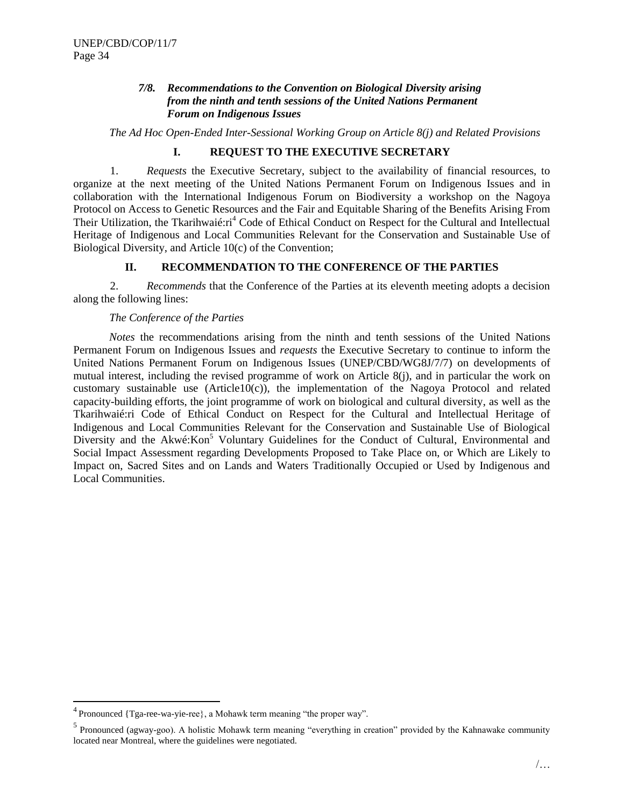# *7/8. Recommendations to the Convention on Biological Diversity arising from the ninth and tenth sessions of the United Nations Permanent Forum on Indigenous Issues*

<span id="page-33-0"></span>*The Ad Hoc Open-Ended Inter-Sessional Working Group on Article 8(j) and Related Provisions*

# **I. REQUEST TO THE EXECUTIVE SECRETARY**

1. *Requests* the Executive Secretary, subject to the availability of financial resources, to organize at the next meeting of the United Nations Permanent Forum on Indigenous Issues and in collaboration with the International Indigenous Forum on Biodiversity a workshop on the Nagoya Protocol on Access to Genetic Resources and the Fair and Equitable Sharing of the Benefits Arising From Their Utilization, the Tkarihwaié:ri<sup>4</sup> Code of Ethical Conduct on Respect for the Cultural and Intellectual Heritage of Indigenous and Local Communities Relevant for the Conservation and Sustainable Use of Biological Diversity, and Article 10(c) of the Convention;

# **II. RECOMMENDATION TO THE CONFERENCE OF THE PARTIES**

2. *Recommends* that the Conference of the Parties at its eleventh meeting adopts a decision along the following lines:

#### *The Conference of the Parties*

*Notes* the recommendations arising from the ninth and tenth sessions of the United Nations Permanent Forum on Indigenous Issues and *requests* the Executive Secretary to continue to inform the United Nations Permanent Forum on Indigenous Issues (UNEP/CBD/WG8J/7/7) on developments of mutual interest, including the revised programme of work on Article 8(j), and in particular the work on customary sustainable use (Article $10(c)$ ), the implementation of the Nagoya Protocol and related capacity-building efforts, the joint programme of work on biological and cultural diversity, as well as the Tkarihwaié:ri Code of Ethical Conduct on Respect for the Cultural and Intellectual Heritage of Indigenous and Local Communities Relevant for the Conservation and Sustainable Use of Biological Diversity and the Akwé:Kon<sup>5</sup> Voluntary Guidelines for the Conduct of Cultural, Environmental and Social Impact Assessment regarding Developments Proposed to Take Place on, or Which are Likely to Impact on, Sacred Sites and on Lands and Waters Traditionally Occupied or Used by Indigenous and Local Communities.

l

<sup>&</sup>lt;sup>4</sup> Pronounced {Tga-ree-wa-yie-ree}, a Mohawk term meaning "the proper way".

<sup>&</sup>lt;sup>5</sup> Pronounced (agway-goo). A holistic Mohawk term meaning "everything in creation" provided by the Kahnawake community located near Montreal, where the guidelines were negotiated.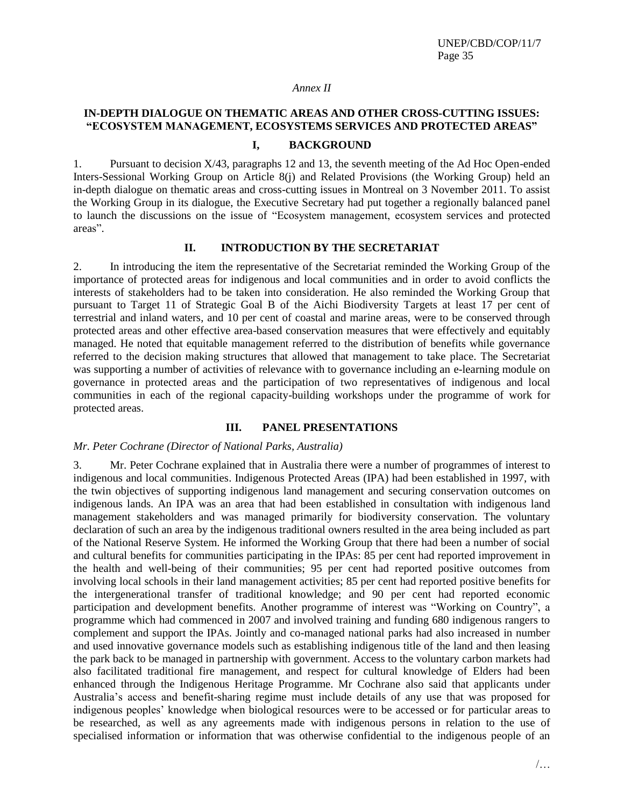#### *Annex II*

# **IN-DEPTH DIALOGUE ON THEMATIC AREAS AND OTHER CROSS-CUTTING ISSUES: "ECOSYSTEM MANAGEMENT, ECOSYSTEMS SERVICES AND PROTECTED AREAS"**

#### **I, BACKGROUND**

1. Pursuant to decision X/43, paragraphs 12 and 13, the seventh meeting of the Ad Hoc Open-ended Inters-Sessional Working Group on Article 8(j) and Related Provisions (the Working Group) held an in-depth dialogue on thematic areas and cross-cutting issues in Montreal on 3 November 2011. To assist the Working Group in its dialogue, the Executive Secretary had put together a regionally balanced panel to launch the discussions on the issue of "Ecosystem management, ecosystem services and protected areas".

#### **II. INTRODUCTION BY THE SECRETARIAT**

2. In introducing the item the representative of the Secretariat reminded the Working Group of the importance of protected areas for indigenous and local communities and in order to avoid conflicts the interests of stakeholders had to be taken into consideration. He also reminded the Working Group that pursuant to Target 11 of Strategic Goal B of the Aichi Biodiversity Targets at least 17 per cent of terrestrial and inland waters, and 10 per cent of coastal and marine areas, were to be conserved through protected areas and other effective area-based conservation measures that were effectively and equitably managed. He noted that equitable management referred to the distribution of benefits while governance referred to the decision making structures that allowed that management to take place. The Secretariat was supporting a number of activities of relevance with to governance including an e-learning module on governance in protected areas and the participation of two representatives of indigenous and local communities in each of the regional capacity-building workshops under the programme of work for protected areas.

#### **III. PANEL PRESENTATIONS**

#### *Mr. Peter Cochrane (Director of National Parks, Australia)*

3. Mr. Peter Cochrane explained that in Australia there were a number of programmes of interest to indigenous and local communities. Indigenous Protected Areas (IPA) had been established in 1997, with the twin objectives of supporting indigenous land management and securing conservation outcomes on indigenous lands. An IPA was an area that had been established in consultation with indigenous land management stakeholders and was managed primarily for biodiversity conservation. The voluntary declaration of such an area by the indigenous traditional owners resulted in the area being included as part of the National Reserve System. He informed the Working Group that there had been a number of social and cultural benefits for communities participating in the IPAs: 85 per cent had reported improvement in the health and well-being of their communities; 95 per cent had reported positive outcomes from involving local schools in their land management activities; 85 per cent had reported positive benefits for the intergenerational transfer of traditional knowledge; and 90 per cent had reported economic participation and development benefits. Another programme of interest was "Working on Country", a programme which had commenced in 2007 and involved training and funding 680 indigenous rangers to complement and support the IPAs. Jointly and co-managed national parks had also increased in number and used innovative governance models such as establishing indigenous title of the land and then leasing the park back to be managed in partnership with government. Access to the voluntary carbon markets had also facilitated traditional fire management, and respect for cultural knowledge of Elders had been enhanced through the Indigenous Heritage Programme. Mr Cochrane also said that applicants under Australia's access and benefit-sharing regime must include details of any use that was proposed for indigenous peoples' knowledge when biological resources were to be accessed or for particular areas to be researched, as well as any agreements made with indigenous persons in relation to the use of specialised information or information that was otherwise confidential to the indigenous people of an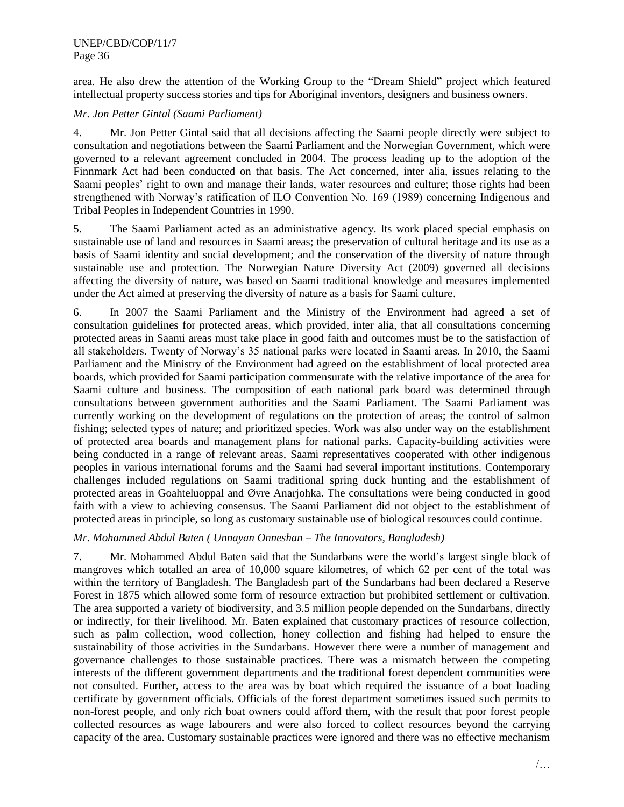area. He also drew the attention of the Working Group to the "Dream Shield" project which featured intellectual property success stories and tips for Aboriginal inventors, designers and business owners.

## *Mr. Jon Petter Gintal (Saami Parliament)*

4. Mr. Jon Petter Gintal said that all decisions affecting the Saami people directly were subject to consultation and negotiations between the Saami Parliament and the Norwegian Government, which were governed to a relevant agreement concluded in 2004. The process leading up to the adoption of the Finnmark Act had been conducted on that basis. The Act concerned, inter alia, issues relating to the Saami peoples' right to own and manage their lands, water resources and culture; those rights had been strengthened with Norway's ratification of ILO Convention No. 169 (1989) concerning Indigenous and Tribal Peoples in Independent Countries in 1990.

5. The Saami Parliament acted as an administrative agency. Its work placed special emphasis on sustainable use of land and resources in Saami areas; the preservation of cultural heritage and its use as a basis of Saami identity and social development; and the conservation of the diversity of nature through sustainable use and protection. The Norwegian Nature Diversity Act (2009) governed all decisions affecting the diversity of nature, was based on Saami traditional knowledge and measures implemented under the Act aimed at preserving the diversity of nature as a basis for Saami culture.

6. In 2007 the Saami Parliament and the Ministry of the Environment had agreed a set of consultation guidelines for protected areas, which provided, inter alia, that all consultations concerning protected areas in Saami areas must take place in good faith and outcomes must be to the satisfaction of all stakeholders. Twenty of Norway's 35 national parks were located in Saami areas. In 2010, the Saami Parliament and the Ministry of the Environment had agreed on the establishment of local protected area boards, which provided for Saami participation commensurate with the relative importance of the area for Saami culture and business. The composition of each national park board was determined through consultations between government authorities and the Saami Parliament. The Saami Parliament was currently working on the development of regulations on the protection of areas; the control of salmon fishing; selected types of nature; and prioritized species. Work was also under way on the establishment of protected area boards and management plans for national parks. Capacity-building activities were being conducted in a range of relevant areas, Saami representatives cooperated with other indigenous peoples in various international forums and the Saami had several important institutions. Contemporary challenges included regulations on Saami traditional spring duck hunting and the establishment of protected areas in Goahteluoppal and Øvre Anarjohka. The consultations were being conducted in good faith with a view to achieving consensus. The Saami Parliament did not object to the establishment of protected areas in principle, so long as customary sustainable use of biological resources could continue.

# *Mr. Mohammed Abdul Baten ( Unnayan Onneshan – The Innovators, Bangladesh)*

7. Mr. Mohammed Abdul Baten said that the Sundarbans were the world's largest single block of mangroves which totalled an area of 10,000 square kilometres, of which 62 per cent of the total was within the territory of Bangladesh. The Bangladesh part of the Sundarbans had been declared a Reserve Forest in 1875 which allowed some form of resource extraction but prohibited settlement or cultivation. The area supported a variety of biodiversity, and 3.5 million people depended on the Sundarbans, directly or indirectly, for their livelihood. Mr. Baten explained that customary practices of resource collection, such as palm collection, wood collection, honey collection and fishing had helped to ensure the sustainability of those activities in the Sundarbans. However there were a number of management and governance challenges to those sustainable practices. There was a mismatch between the competing interests of the different government departments and the traditional forest dependent communities were not consulted. Further, access to the area was by boat which required the issuance of a boat loading certificate by government officials. Officials of the forest department sometimes issued such permits to non-forest people, and only rich boat owners could afford them, with the result that poor forest people collected resources as wage labourers and were also forced to collect resources beyond the carrying capacity of the area. Customary sustainable practices were ignored and there was no effective mechanism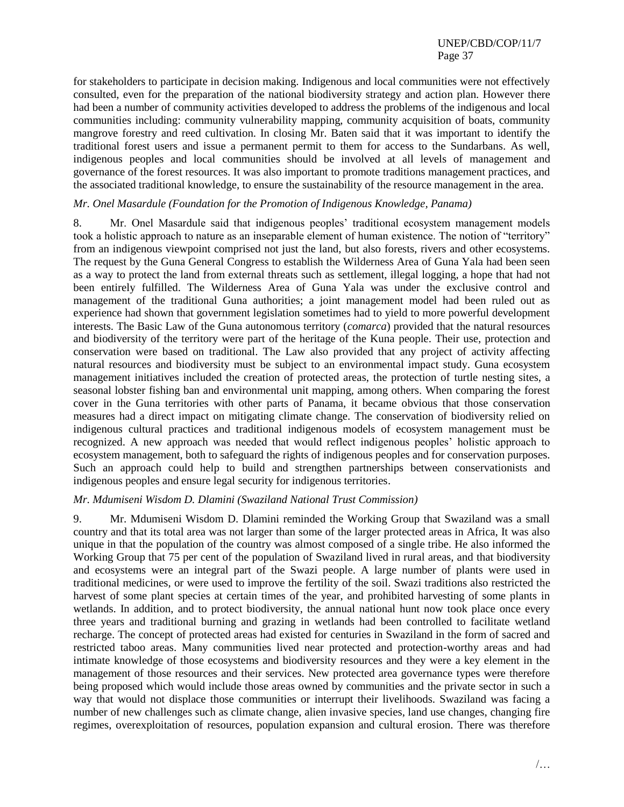for stakeholders to participate in decision making. Indigenous and local communities were not effectively consulted, even for the preparation of the national biodiversity strategy and action plan. However there had been a number of community activities developed to address the problems of the indigenous and local communities including: community vulnerability mapping, community acquisition of boats, community mangrove forestry and reed cultivation. In closing Mr. Baten said that it was important to identify the traditional forest users and issue a permanent permit to them for access to the Sundarbans. As well, indigenous peoples and local communities should be involved at all levels of management and governance of the forest resources. It was also important to promote traditions management practices, and the associated traditional knowledge, to ensure the sustainability of the resource management in the area.

#### *Mr. Onel Masardule (Foundation for the Promotion of Indigenous Knowledge, Panama)*

8. Mr. Onel Masardule said that indigenous peoples' traditional ecosystem management models took a holistic approach to nature as an inseparable element of human existence. The notion of "territory" from an indigenous viewpoint comprised not just the land, but also forests, rivers and other ecosystems. The request by the Guna General Congress to establish the Wilderness Area of Guna Yala had been seen as a way to protect the land from external threats such as settlement, illegal logging, a hope that had not been entirely fulfilled. The Wilderness Area of Guna Yala was under the exclusive control and management of the traditional Guna authorities; a joint management model had been ruled out as experience had shown that government legislation sometimes had to yield to more powerful development interests. The Basic Law of the Guna autonomous territory (*comarca*) provided that the natural resources and biodiversity of the territory were part of the heritage of the Kuna people. Their use, protection and conservation were based on traditional. The Law also provided that any project of activity affecting natural resources and biodiversity must be subject to an environmental impact study. Guna ecosystem management initiatives included the creation of protected areas, the protection of turtle nesting sites, a seasonal lobster fishing ban and environmental unit mapping, among others. When comparing the forest cover in the Guna territories with other parts of Panama, it became obvious that those conservation measures had a direct impact on mitigating climate change. The conservation of biodiversity relied on indigenous cultural practices and traditional indigenous models of ecosystem management must be recognized. A new approach was needed that would reflect indigenous peoples' holistic approach to ecosystem management, both to safeguard the rights of indigenous peoples and for conservation purposes. Such an approach could help to build and strengthen partnerships between conservationists and indigenous peoples and ensure legal security for indigenous territories.

#### *Mr. Mdumiseni Wisdom D. Dlamini (Swaziland National Trust Commission)*

9. Mr. Mdumiseni Wisdom D. Dlamini reminded the Working Group that Swaziland was a small country and that its total area was not larger than some of the larger protected areas in Africa, It was also unique in that the population of the country was almost composed of a single tribe. He also informed the Working Group that 75 per cent of the population of Swaziland lived in rural areas, and that biodiversity and ecosystems were an integral part of the Swazi people. A large number of plants were used in traditional medicines, or were used to improve the fertility of the soil. Swazi traditions also restricted the harvest of some plant species at certain times of the year, and prohibited harvesting of some plants in wetlands. In addition, and to protect biodiversity, the annual national hunt now took place once every three years and traditional burning and grazing in wetlands had been controlled to facilitate wetland recharge. The concept of protected areas had existed for centuries in Swaziland in the form of sacred and restricted taboo areas. Many communities lived near protected and protection-worthy areas and had intimate knowledge of those ecosystems and biodiversity resources and they were a key element in the management of those resources and their services. New protected area governance types were therefore being proposed which would include those areas owned by communities and the private sector in such a way that would not displace those communities or interrupt their livelihoods. Swaziland was facing a number of new challenges such as climate change, alien invasive species, land use changes, changing fire regimes, overexploitation of resources, population expansion and cultural erosion. There was therefore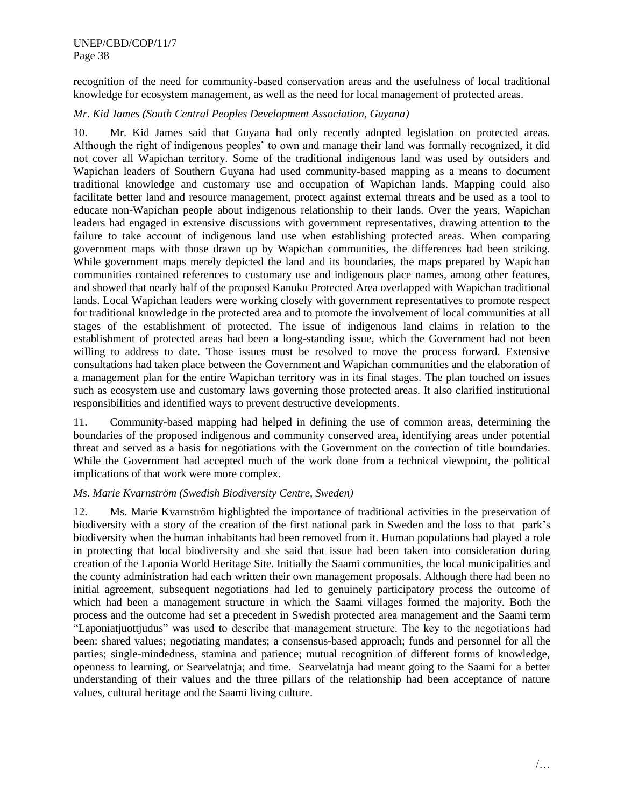recognition of the need for community-based conservation areas and the usefulness of local traditional knowledge for ecosystem management, as well as the need for local management of protected areas.

# *Mr. Kid James (South Central Peoples Development Association, Guyana)*

10. Mr. Kid James said that Guyana had only recently adopted legislation on protected areas. Although the right of indigenous peoples' to own and manage their land was formally recognized, it did not cover all Wapichan territory. Some of the traditional indigenous land was used by outsiders and Wapichan leaders of Southern Guyana had used community-based mapping as a means to document traditional knowledge and customary use and occupation of Wapichan lands. Mapping could also facilitate better land and resource management, protect against external threats and be used as a tool to educate non-Wapichan people about indigenous relationship to their lands. Over the years, Wapichan leaders had engaged in extensive discussions with government representatives, drawing attention to the failure to take account of indigenous land use when establishing protected areas. When comparing government maps with those drawn up by Wapichan communities, the differences had been striking. While government maps merely depicted the land and its boundaries, the maps prepared by Wapichan communities contained references to customary use and indigenous place names, among other features, and showed that nearly half of the proposed Kanuku Protected Area overlapped with Wapichan traditional lands. Local Wapichan leaders were working closely with government representatives to promote respect for traditional knowledge in the protected area and to promote the involvement of local communities at all stages of the establishment of protected. The issue of indigenous land claims in relation to the establishment of protected areas had been a long-standing issue, which the Government had not been willing to address to date. Those issues must be resolved to move the process forward. Extensive consultations had taken place between the Government and Wapichan communities and the elaboration of a management plan for the entire Wapichan territory was in its final stages. The plan touched on issues such as ecosystem use and customary laws governing those protected areas. It also clarified institutional responsibilities and identified ways to prevent destructive developments.

11. Community-based mapping had helped in defining the use of common areas, determining the boundaries of the proposed indigenous and community conserved area, identifying areas under potential threat and served as a basis for negotiations with the Government on the correction of title boundaries. While the Government had accepted much of the work done from a technical viewpoint, the political implications of that work were more complex.

# *Ms. Marie Kvarnström (Swedish Biodiversity Centre, Sweden)*

12. Ms. Marie Kvarnström highlighted the importance of traditional activities in the preservation of biodiversity with a story of the creation of the first national park in Sweden and the loss to that park's biodiversity when the human inhabitants had been removed from it. Human populations had played a role in protecting that local biodiversity and she said that issue had been taken into consideration during creation of the Laponia World Heritage Site. Initially the Saami communities, the local municipalities and the county administration had each written their own management proposals. Although there had been no initial agreement, subsequent negotiations had led to genuinely participatory process the outcome of which had been a management structure in which the Saami villages formed the majority. Both the process and the outcome had set a precedent in Swedish protected area management and the Saami term "Laponiatjuottjudus" was used to describe that management structure. The key to the negotiations had been: shared values; negotiating mandates; a consensus-based approach; funds and personnel for all the parties; single-mindedness, stamina and patience; mutual recognition of different forms of knowledge, openness to learning, or Searvelatnja; and time. Searvelatnja had meant going to the Saami for a better understanding of their values and the three pillars of the relationship had been acceptance of nature values, cultural heritage and the Saami living culture.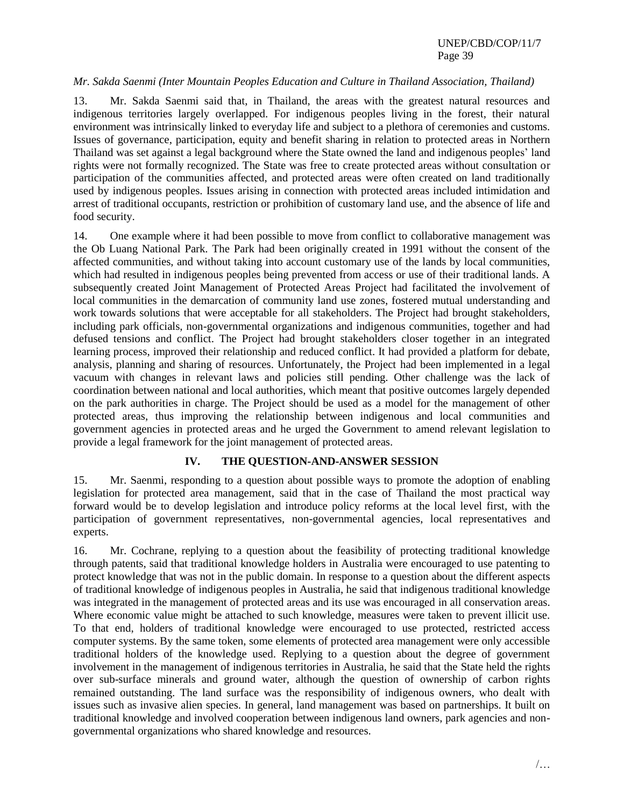#### *Mr. Sakda Saenmi (Inter Mountain Peoples Education and Culture in Thailand Association, Thailand)*

13. Mr. Sakda Saenmi said that, in Thailand, the areas with the greatest natural resources and indigenous territories largely overlapped. For indigenous peoples living in the forest, their natural environment was intrinsically linked to everyday life and subject to a plethora of ceremonies and customs. Issues of governance, participation, equity and benefit sharing in relation to protected areas in Northern Thailand was set against a legal background where the State owned the land and indigenous peoples' land rights were not formally recognized. The State was free to create protected areas without consultation or participation of the communities affected, and protected areas were often created on land traditionally used by indigenous peoples. Issues arising in connection with protected areas included intimidation and arrest of traditional occupants, restriction or prohibition of customary land use, and the absence of life and food security.

14. One example where it had been possible to move from conflict to collaborative management was the Ob Luang National Park. The Park had been originally created in 1991 without the consent of the affected communities, and without taking into account customary use of the lands by local communities, which had resulted in indigenous peoples being prevented from access or use of their traditional lands. A subsequently created Joint Management of Protected Areas Project had facilitated the involvement of local communities in the demarcation of community land use zones, fostered mutual understanding and work towards solutions that were acceptable for all stakeholders. The Project had brought stakeholders, including park officials, non-governmental organizations and indigenous communities, together and had defused tensions and conflict. The Project had brought stakeholders closer together in an integrated learning process, improved their relationship and reduced conflict. It had provided a platform for debate, analysis, planning and sharing of resources. Unfortunately, the Project had been implemented in a legal vacuum with changes in relevant laws and policies still pending. Other challenge was the lack of coordination between national and local authorities, which meant that positive outcomes largely depended on the park authorities in charge. The Project should be used as a model for the management of other protected areas, thus improving the relationship between indigenous and local communities and government agencies in protected areas and he urged the Government to amend relevant legislation to provide a legal framework for the joint management of protected areas.

# **IV. THE QUESTION-AND-ANSWER SESSION**

15. Mr. Saenmi, responding to a question about possible ways to promote the adoption of enabling legislation for protected area management, said that in the case of Thailand the most practical way forward would be to develop legislation and introduce policy reforms at the local level first, with the participation of government representatives, non-governmental agencies, local representatives and experts.

16. Mr. Cochrane, replying to a question about the feasibility of protecting traditional knowledge through patents, said that traditional knowledge holders in Australia were encouraged to use patenting to protect knowledge that was not in the public domain. In response to a question about the different aspects of traditional knowledge of indigenous peoples in Australia, he said that indigenous traditional knowledge was integrated in the management of protected areas and its use was encouraged in all conservation areas. Where economic value might be attached to such knowledge, measures were taken to prevent illicit use. To that end, holders of traditional knowledge were encouraged to use protected, restricted access computer systems. By the same token, some elements of protected area management were only accessible traditional holders of the knowledge used. Replying to a question about the degree of government involvement in the management of indigenous territories in Australia, he said that the State held the rights over sub-surface minerals and ground water, although the question of ownership of carbon rights remained outstanding. The land surface was the responsibility of indigenous owners, who dealt with issues such as invasive alien species. In general, land management was based on partnerships. It built on traditional knowledge and involved cooperation between indigenous land owners, park agencies and nongovernmental organizations who shared knowledge and resources.